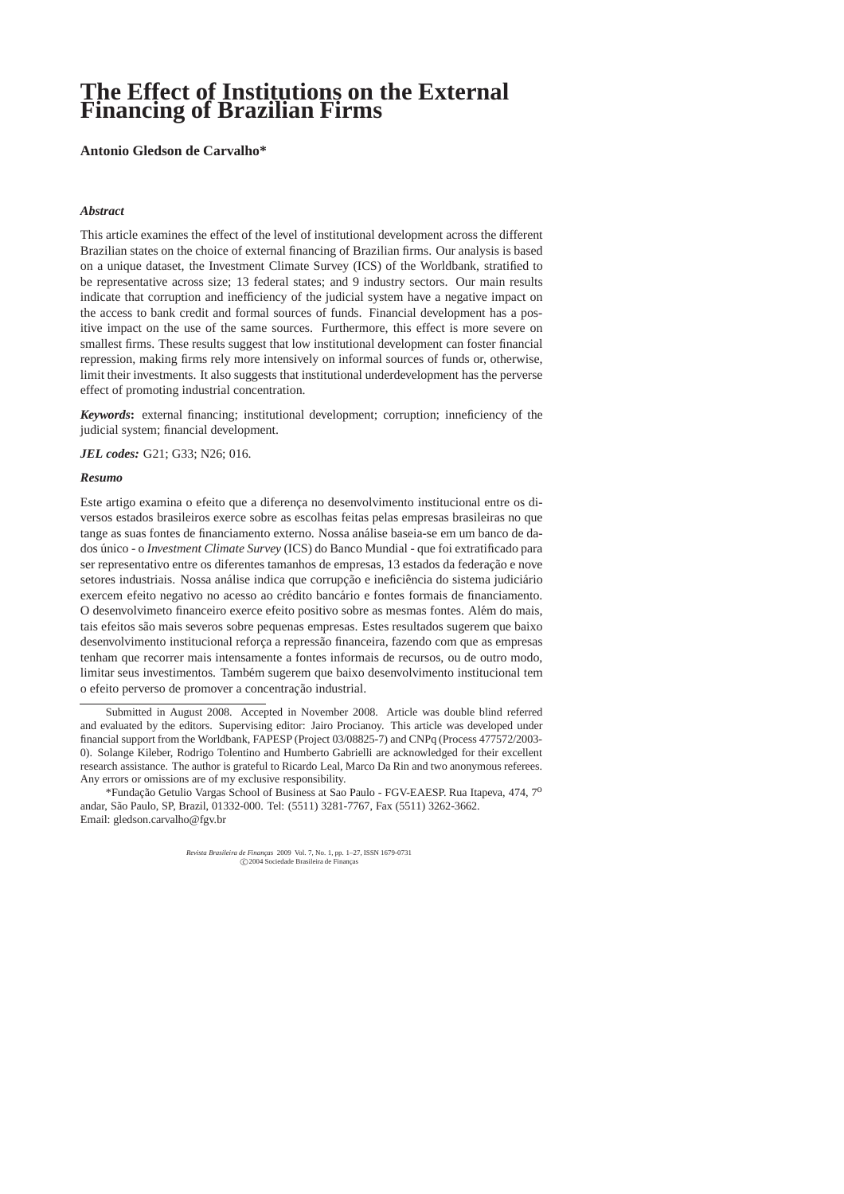# **The Effect of Institutions on the External Financing of Brazilian Firms**

**Antonio Gledson de Carvalho\***

# *Abstract*

This article examines the effect of the level of institutional development across the different Brazilian states on the choice of external financing of Brazilian firms. Our analysis is based on a unique dataset, the Investment Climate Survey (ICS) of the Worldbank, stratified to be representative across size; 13 federal states; and 9 industry sectors. Our main results indicate that corruption and inefficiency of the judicial system have a negative impact on the access to bank credit and formal sources of funds. Financial development has a positive impact on the use of the same sources. Furthermore, this effect is more severe on smallest firms. These results suggest that low institutional development can foster financial repression, making firms rely more intensively on informal sources of funds or, otherwise, limit their investments. It also suggests that institutional underdevelopment has the perverse effect of promoting industrial concentration.

*Keywords***:** external financing; institutional development; corruption; inneficiency of the judicial system; financial development.

*JEL codes:* G21; G33; N26; 016.

# *Resumo*

Este artigo examina o efeito que a diferença no desenvolvimento institucional entre os diversos estados brasileiros exerce sobre as escolhas feitas pelas empresas brasileiras no que tange as suas fontes de financiamento externo. Nossa análise baseia-se em um banco de dados único - o *Investment Climate Survey* (ICS) do Banco Mundial - que foi extratificado para ser representativo entre os diferentes tamanhos de empresas, 13 estados da federação e nove setores industriais. Nossa análise indica que corrupção e ineficiência do sistema judiciário exercem efeito negativo no acesso ao crédito bancário e fontes formais de financiamento. O desenvolvimeto financeiro exerce efeito positivo sobre as mesmas fontes. Além do mais, tais efeitos são mais severos sobre pequenas empresas. Estes resultados sugerem que baixo desenvolvimento institucional reforça a repressão financeira, fazendo com que as empresas tenham que recorrer mais intensamente a fontes informais de recursos, ou de outro modo, limitar seus investimentos. Também sugerem que baixo desenvolvimento institucional tem o efeito perverso de promover a concentração industrial.

\*Fundacão Getulio Vargas School of Business at Sao Paulo - FGV-EAESP. Rua Itapeva, 474, 7<sup>0</sup> andar, S˜ao Paulo, SP, Brazil, 01332-000. Tel: (5511) 3281-7767, Fax (5511) 3262-3662. Email: gledson.carvalho@fgv.br

*Revista Brasileira de Finanças* 2009 Vol. 7, No. 1, pp. 1–27, ISSN 1679-0731<br>
C 2004 Sociedade Brasileira de Finanças

Submitted in August 2008. Accepted in November 2008. Article was double blind referred and evaluated by the editors. Supervising editor: Jairo Procianoy. This article was developed under financial support from the Worldbank, FAPESP (Project 03/08825-7) and CNPq (Process 477572/2003- 0). Solange Kileber, Rodrigo Tolentino and Humberto Gabrielli are acknowledged for their excellent research assistance. The author is grateful to Ricardo Leal, Marco Da Rin and two anonymous referees. Any errors or omissions are of my exclusive responsibility.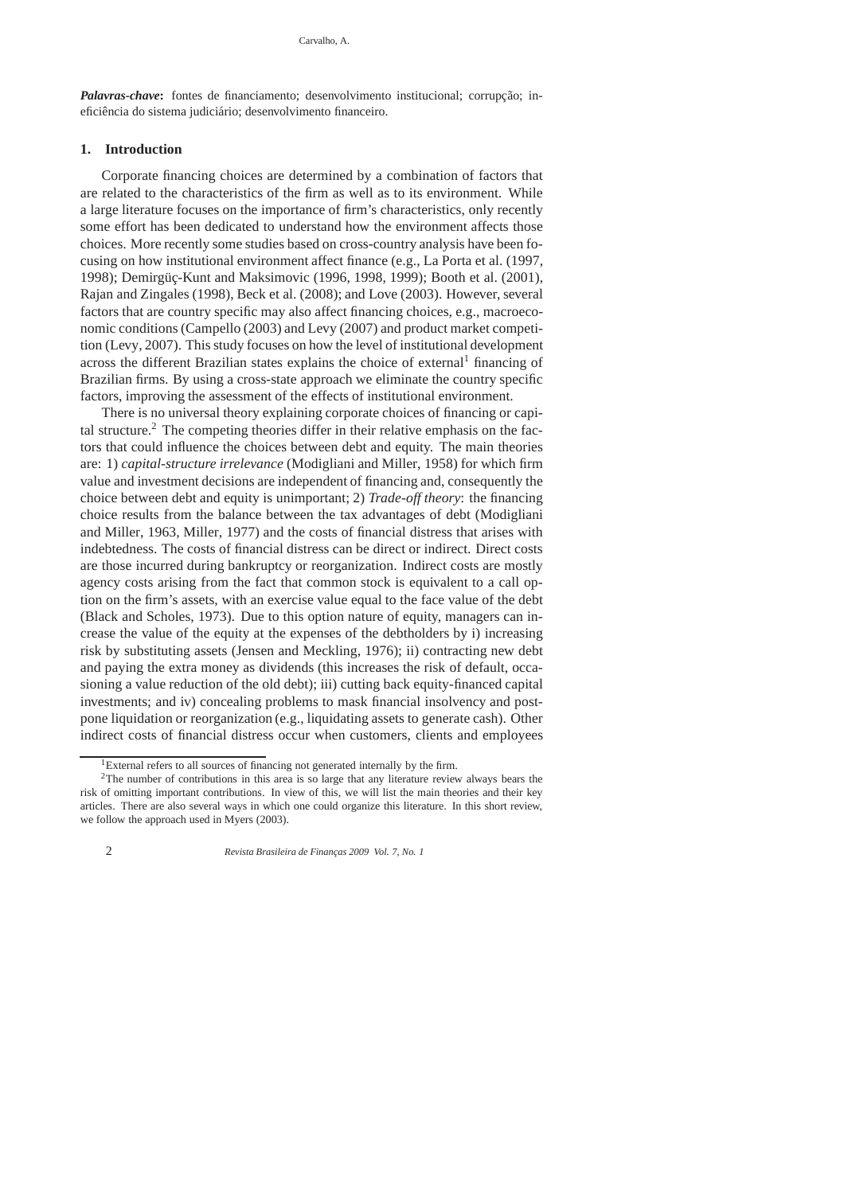*Palavras-chave*: fontes de financiamento; desenvolvimento institucional; corrupcão; ineficiência do sistema judiciário; desenvolvimento financeiro.

# **1. Introduction**

Corporate financing choices are determined by a combination of factors that are related to the characteristics of the firm as well as to its environment. While a large literature focuses on the importance of firm's characteristics, only recently some effort has been dedicated to understand how the environment affects those choices. More recently some studies based on cross-country analysis have been focusing on how institutional environment affect finance (e.g., La Porta et al. (1997, 1998); Demirgüç-Kunt and Maksimovic (1996, 1998, 1999); Booth et al. (2001), Rajan and Zingales (1998), Beck et al. (2008); and Love (2003). However, several factors that are country specific may also affect financing choices, e.g., macroeconomic conditions (Campello (2003) and Levy (2007) and product market competition (Levy, 2007). This study focuses on how the level of institutional development across the different Brazilian states explains the choice of external<sup>1</sup> financing of Brazilian firms. By using a cross-state approach we eliminate the country specific factors, improving the assessment of the effects of institutional environment.

There is no universal theory explaining corporate choices of financing or capital structure.<sup>2</sup> The competing theories differ in their relative emphasis on the factors that could influence the choices between debt and equity. The main theories are: 1) *capital-structure irrelevance* (Modigliani and Miller, 1958) for which firm value and investment decisions are independent of financing and, consequently the choice between debt and equity is unimportant; 2) *Trade-off theory*: the financing choice results from the balance between the tax advantages of debt (Modigliani and Miller, 1963, Miller, 1977) and the costs of financial distress that arises with indebtedness. The costs of financial distress can be direct or indirect. Direct costs are those incurred during bankruptcy or reorganization. Indirect costs are mostly agency costs arising from the fact that common stock is equivalent to a call option on the firm's assets, with an exercise value equal to the face value of the debt (Black and Scholes, 1973). Due to this option nature of equity, managers can increase the value of the equity at the expenses of the debtholders by i) increasing risk by substituting assets (Jensen and Meckling, 1976); ii) contracting new debt and paying the extra money as dividends (this increases the risk of default, occasioning a value reduction of the old debt); iii) cutting back equity-financed capital investments; and iv) concealing problems to mask financial insolvency and postpone liquidation or reorganization (e.g., liquidating assets to generate cash). Other indirect costs of financial distress occur when customers, clients and employees

<sup>&</sup>lt;sup>1</sup>External refers to all sources of financing not generated internally by the firm.

<sup>&</sup>lt;sup>2</sup>The number of contributions in this area is so large that any literature review always bears the risk of omitting important contributions. In view of this, we will list the main theories and their key articles. There are also several ways in which one could organize this literature. In this short review, we follow the approach used in Myers (2003).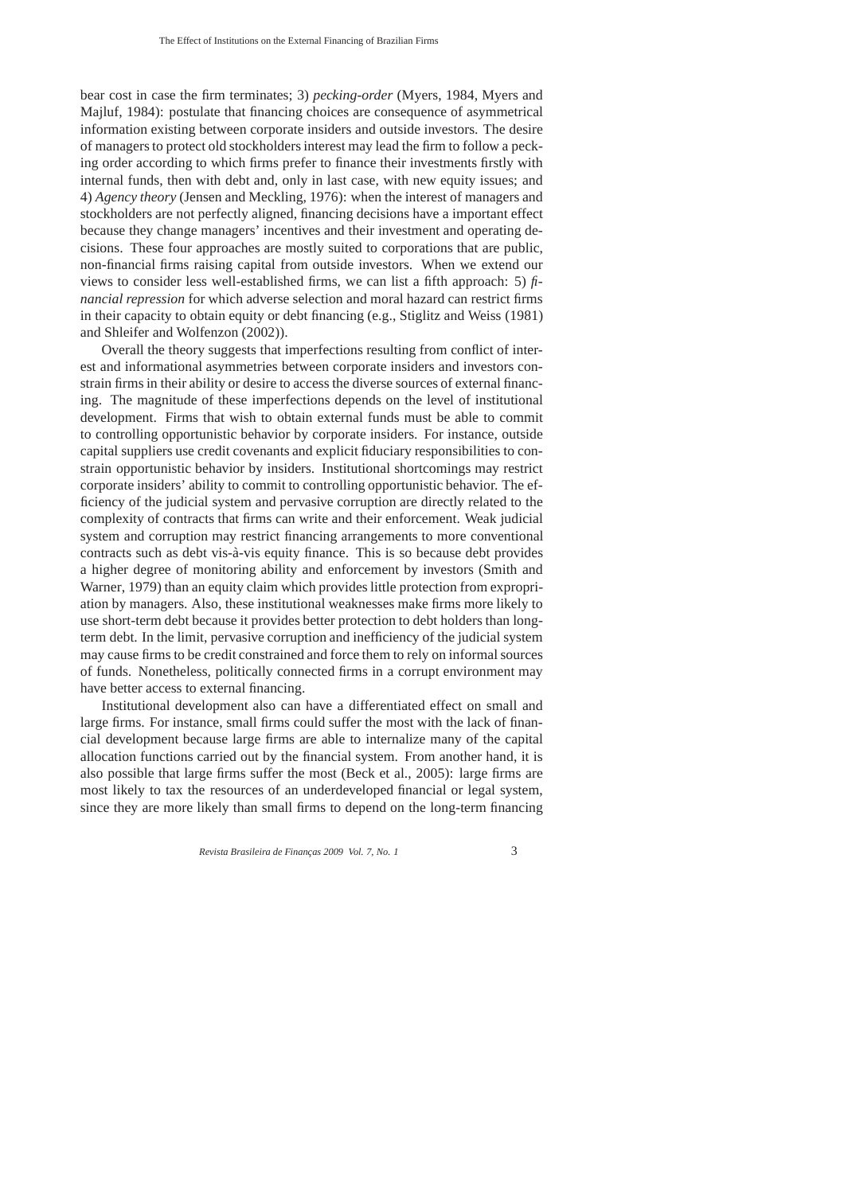bear cost in case the firm terminates; 3) *pecking-order* (Myers, 1984, Myers and Majluf, 1984): postulate that financing choices are consequence of asymmetrical information existing between corporate insiders and outside investors. The desire of managers to protect old stockholders interest may lead the firm to follow a pecking order according to which firms prefer to finance their investments firstly with internal funds, then with debt and, only in last case, with new equity issues; and 4) *Agency theory* (Jensen and Meckling, 1976): when the interest of managers and stockholders are not perfectly aligned, financing decisions have a important effect because they change managers' incentives and their investment and operating decisions. These four approaches are mostly suited to corporations that are public, non-financial firms raising capital from outside investors. When we extend our views to consider less well-established firms, we can list a fifth approach: 5) *financial repression* for which adverse selection and moral hazard can restrict firms in their capacity to obtain equity or debt financing (e.g., Stiglitz and Weiss (1981) and Shleifer and Wolfenzon (2002)).

Overall the theory suggests that imperfections resulting from conflict of interest and informational asymmetries between corporate insiders and investors constrain firms in their ability or desire to access the diverse sources of external financing. The magnitude of these imperfections depends on the level of institutional development. Firms that wish to obtain external funds must be able to commit to controlling opportunistic behavior by corporate insiders. For instance, outside capital suppliers use credit covenants and explicit fiduciary responsibilities to constrain opportunistic behavior by insiders. Institutional shortcomings may restrict corporate insiders' ability to commit to controlling opportunistic behavior. The efficiency of the judicial system and pervasive corruption are directly related to the complexity of contracts that firms can write and their enforcement. Weak judicial system and corruption may restrict financing arrangements to more conventional contracts such as debt vis-à-vis equity finance. This is so because debt provides a higher degree of monitoring ability and enforcement by investors (Smith and Warner, 1979) than an equity claim which provides little protection from expropriation by managers. Also, these institutional weaknesses make firms more likely to use short-term debt because it provides better protection to debt holders than longterm debt. In the limit, pervasive corruption and inefficiency of the judicial system may cause firms to be credit constrained and force them to rely on informal sources of funds. Nonetheless, politically connected firms in a corrupt environment may have better access to external financing.

Institutional development also can have a differentiated effect on small and large firms. For instance, small firms could suffer the most with the lack of financial development because large firms are able to internalize many of the capital allocation functions carried out by the financial system. From another hand, it is also possible that large firms suffer the most (Beck et al., 2005): large firms are most likely to tax the resources of an underdeveloped financial or legal system, since they are more likely than small firms to depend on the long-term financing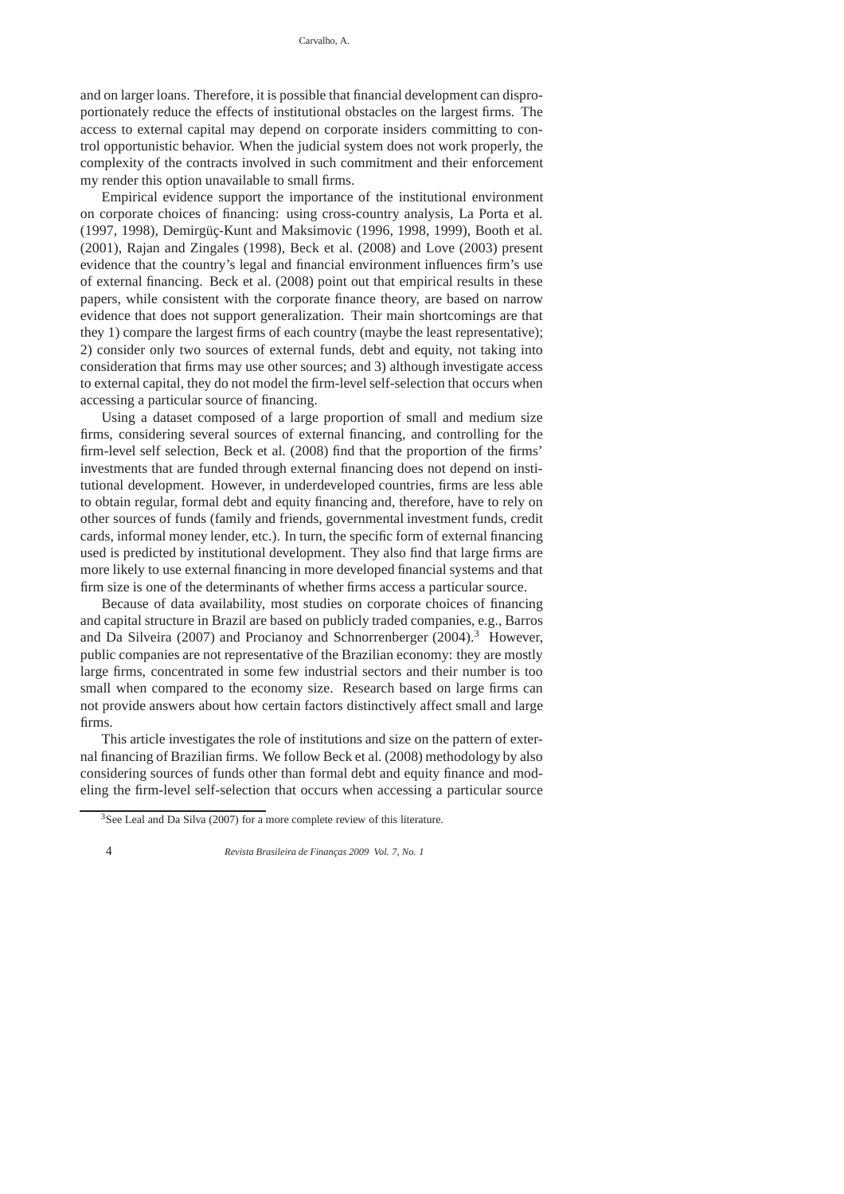and on larger loans. Therefore, it is possible that financial development can disproportionately reduce the effects of institutional obstacles on the largest firms. The access to external capital may depend on corporate insiders committing to control opportunistic behavior. When the judicial system does not work properly, the complexity of the contracts involved in such commitment and their enforcement my render this option unavailable to small firms.

Empirical evidence support the importance of the institutional environment on corporate choices of financing: using cross-country analysis, La Porta et al. (1997, 1998), Demirgüç-Kunt and Maksimovic (1996, 1998, 1999), Booth et al. (2001), Rajan and Zingales (1998), Beck et al. (2008) and Love (2003) present evidence that the country's legal and financial environment influences firm's use of external financing. Beck et al. (2008) point out that empirical results in these papers, while consistent with the corporate finance theory, are based on narrow evidence that does not support generalization. Their main shortcomings are that they 1) compare the largest firms of each country (maybe the least representative); 2) consider only two sources of external funds, debt and equity, not taking into consideration that firms may use other sources; and 3) although investigate access to external capital, they do not model the firm-level self-selection that occurs when accessing a particular source of financing.

Using a dataset composed of a large proportion of small and medium size firms, considering several sources of external financing, and controlling for the firm-level self selection, Beck et al. (2008) find that the proportion of the firms' investments that are funded through external financing does not depend on institutional development. However, in underdeveloped countries, firms are less able to obtain regular, formal debt and equity financing and, therefore, have to rely on other sources of funds (family and friends, governmental investment funds, credit cards, informal money lender, etc.). In turn, the specific form of external financing used is predicted by institutional development. They also find that large firms are more likely to use external financing in more developed financial systems and that firm size is one of the determinants of whether firms access a particular source.

Because of data availability, most studies on corporate choices of financing and capital structure in Brazil are based on publicly traded companies, e.g., Barros and Da Silveira (2007) and Procianoy and Schnorrenberger (2004).<sup>3</sup> However, public companies are not representative of the Brazilian economy: they are mostly large firms, concentrated in some few industrial sectors and their number is too small when compared to the economy size. Research based on large firms can not provide answers about how certain factors distinctively affect small and large firms.

This article investigates the role of institutions and size on the pattern of external financing of Brazilian firms. We follow Beck et al. (2008) methodology by also considering sources of funds other than formal debt and equity finance and modeling the firm-level self-selection that occurs when accessing a particular source

 $3$ See Leal and Da Silva (2007) for a more complete review of this literature.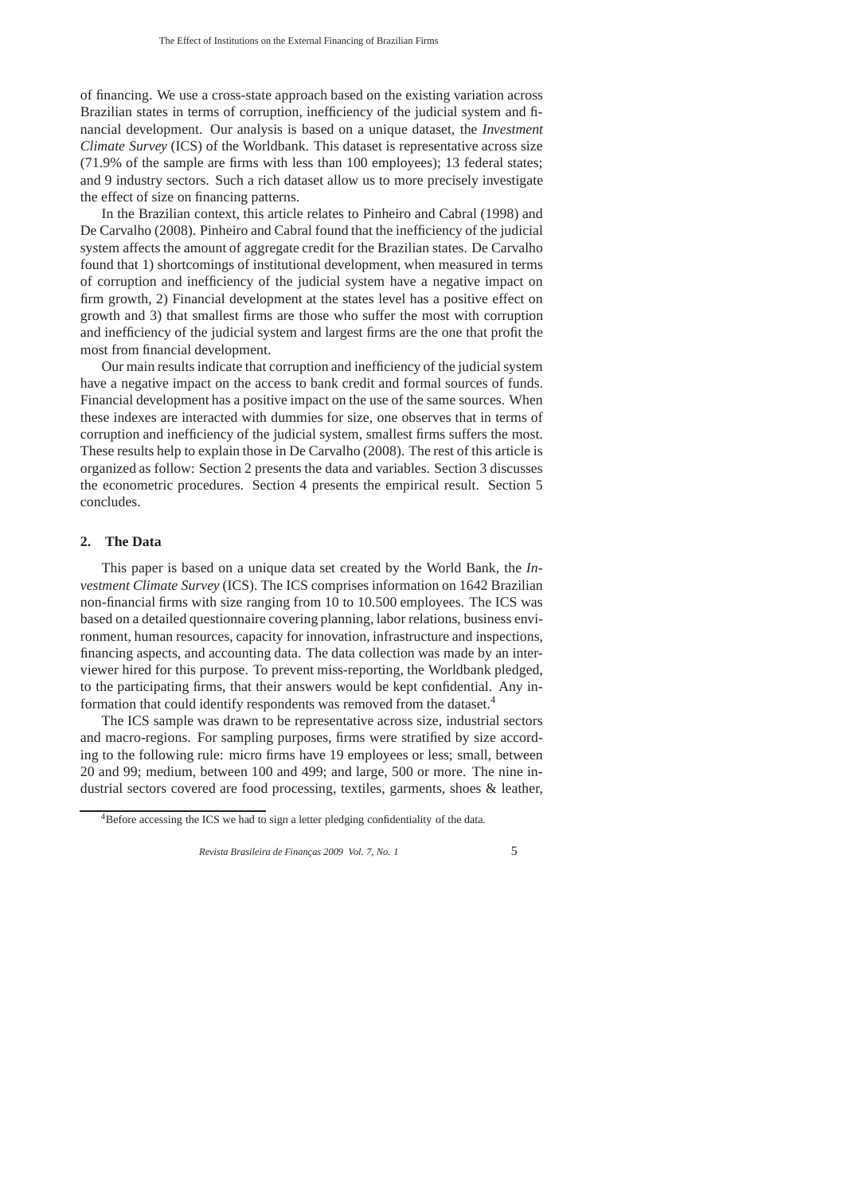of financing. We use a cross-state approach based on the existing variation across Brazilian states in terms of corruption, inefficiency of the judicial system and financial development. Our analysis is based on a unique dataset, the *Investment Climate Survey* (ICS) of the Worldbank. This dataset is representative across size (71.9% of the sample are firms with less than 100 employees); 13 federal states; and 9 industry sectors. Such a rich dataset allow us to more precisely investigate the effect of size on financing patterns.

In the Brazilian context, this article relates to Pinheiro and Cabral (1998) and De Carvalho (2008). Pinheiro and Cabral found that the inefficiency of the judicial system affects the amount of aggregate credit for the Brazilian states. De Carvalho found that 1) shortcomings of institutional development, when measured in terms of corruption and inefficiency of the judicial system have a negative impact on firm growth, 2) Financial development at the states level has a positive effect on growth and 3) that smallest firms are those who suffer the most with corruption and inefficiency of the judicial system and largest firms are the one that profit the most from financial development.

Our main results indicate that corruption and inefficiency of the judicial system have a negative impact on the access to bank credit and formal sources of funds. Financial development has a positive impact on the use of the same sources. When these indexes are interacted with dummies for size, one observes that in terms of corruption and inefficiency of the judicial system, smallest firms suffers the most. These results help to explain those in De Carvalho (2008). The rest of this article is organized as follow: Section 2 presents the data and variables. Section 3 discusses the econometric procedures. Section 4 presents the empirical result. Section 5 concludes.

# **2. The Data**

This paper is based on a unique data set created by the World Bank, the *Investment Climate Survey* (ICS). The ICS comprises information on 1642 Brazilian non-financial firms with size ranging from 10 to 10.500 employees. The ICS was based on a detailed questionnaire covering planning, labor relations, business environment, human resources, capacity for innovation, infrastructure and inspections, financing aspects, and accounting data. The data collection was made by an interviewer hired for this purpose. To prevent miss-reporting, the Worldbank pledged, to the participating firms, that their answers would be kept confidential. Any information that could identify respondents was removed from the dataset.<sup>4</sup>

The ICS sample was drawn to be representative across size, industrial sectors and macro-regions. For sampling purposes, firms were stratified by size according to the following rule: micro firms have 19 employees or less; small, between 20 and 99; medium, between 100 and 499; and large, 500 or more. The nine industrial sectors covered are food processing, textiles, garments, shoes & leather,

<sup>&</sup>lt;sup>4</sup>Before accessing the ICS we had to sign a letter pledging confidentiality of the data.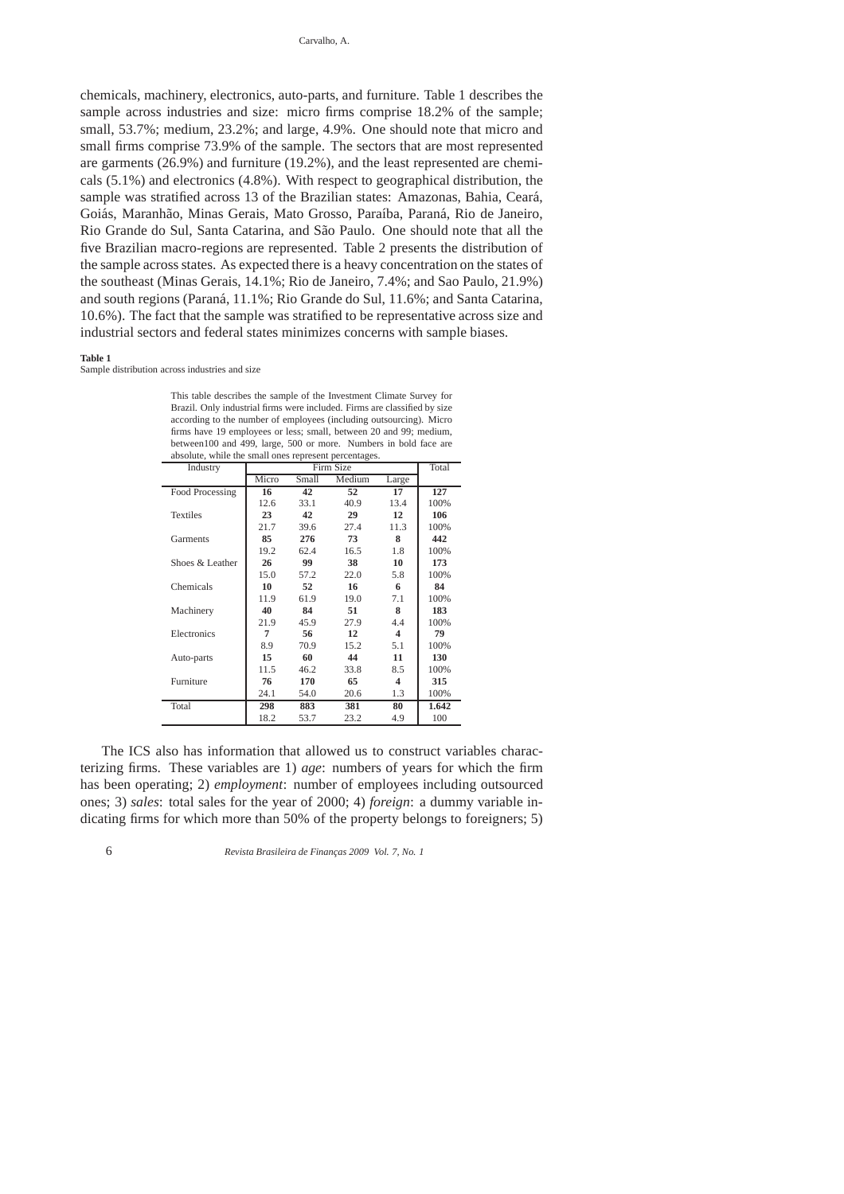chemicals, machinery, electronics, auto-parts, and furniture. Table 1 describes the sample across industries and size: micro firms comprise 18.2% of the sample; small, 53.7%; medium, 23.2%; and large, 4.9%. One should note that micro and small firms comprise 73.9% of the sample. The sectors that are most represented are garments (26.9%) and furniture (19.2%), and the least represented are chemicals (5.1%) and electronics (4.8%). With respect to geographical distribution, the sample was stratified across 13 of the Brazilian states: Amazonas, Bahia, Ceará, Goiás, Maranhão, Minas Gerais, Mato Grosso, Paraíba, Paraná, Rio de Janeiro, Rio Grande do Sul, Santa Catarina, and São Paulo. One should note that all the five Brazilian macro-regions are represented. Table 2 presents the distribution of the sample across states. As expected there is a heavy concentration on the states of the southeast (Minas Gerais, 14.1%; Rio de Janeiro, 7.4%; and Sao Paulo, 21.9%) and south regions (Paran´a, 11.1%; Rio Grande do Sul, 11.6%; and Santa Catarina, 10.6%). The fact that the sample was stratified to be representative across size and industrial sectors and federal states minimizes concerns with sample biases.

#### **Table 1**

Sample distribution across industries and size

| Industry        |       |       | Firm Size |       | Total |
|-----------------|-------|-------|-----------|-------|-------|
|                 | Micro | Small | Medium    | Large |       |
| Food Processing | 16    | 42    | 52        | 17    | 127   |
|                 | 12.6  | 33.1  | 40.9      | 13.4  | 100%  |
| <b>Textiles</b> | 23    | 42    | 29        | 12    | 106   |
|                 | 21.7  | 39.6  | 27.4      | 11.3  | 100%  |
| Garments        | 85    | 276   | 73        | 8     | 442   |
|                 | 19.2  | 62.4  | 16.5      | 1.8   | 100%  |
| Shoes & Leather | 26    | 99    | 38        | 10    | 173   |
|                 | 15.0  | 57.2  | 22.0      | 5.8   | 100%  |
| Chemicals       | 10    | 52    | 16        | 6     | 84    |
|                 | 11.9  | 61.9  | 19.0      | 7.1   | 100%  |
| Machinery       | 40    | 84    | 51        | 8     | 183   |
|                 | 21.9  | 45.9  | 27.9      | 4.4   | 100%  |
| Electronics     | 7     | 56    | 12        | 4     | 79    |
|                 | 8.9   | 70.9  | 15.2      | 5.1   | 100%  |
| Auto-parts      | 15    | 60    | 44        | 11    | 130   |
|                 | 11.5  | 46.2  | 33.8      | 8.5   | 100%  |
| Furniture       | 76    | 170   | 65        | 4     | 315   |
|                 | 24.1  | 54.0  | 20.6      | 1.3   | 100%  |
| Total           | 298   | 883   | 381       | 80    | 1.642 |
|                 | 18.2  | 53.7  | 23.2      | 4.9   | 100   |

This table describes the sample of the Investment Climate Survey for Brazil. Only industrial firms were included. Firms are classified by size according to the number of employees (including outsourcing). Micro firms have 19 employees or less; small, between 20 and 99; medium, between100 and 499, large, 500 or more. Numbers in bold face are

The ICS also has information that allowed us to construct variables characterizing firms. These variables are 1) *age*: numbers of years for which the firm has been operating; 2) *employment*: number of employees including outsourced ones; 3) *sales*: total sales for the year of 2000; 4) *foreign*: a dummy variable indicating firms for which more than 50% of the property belongs to foreigners; 5)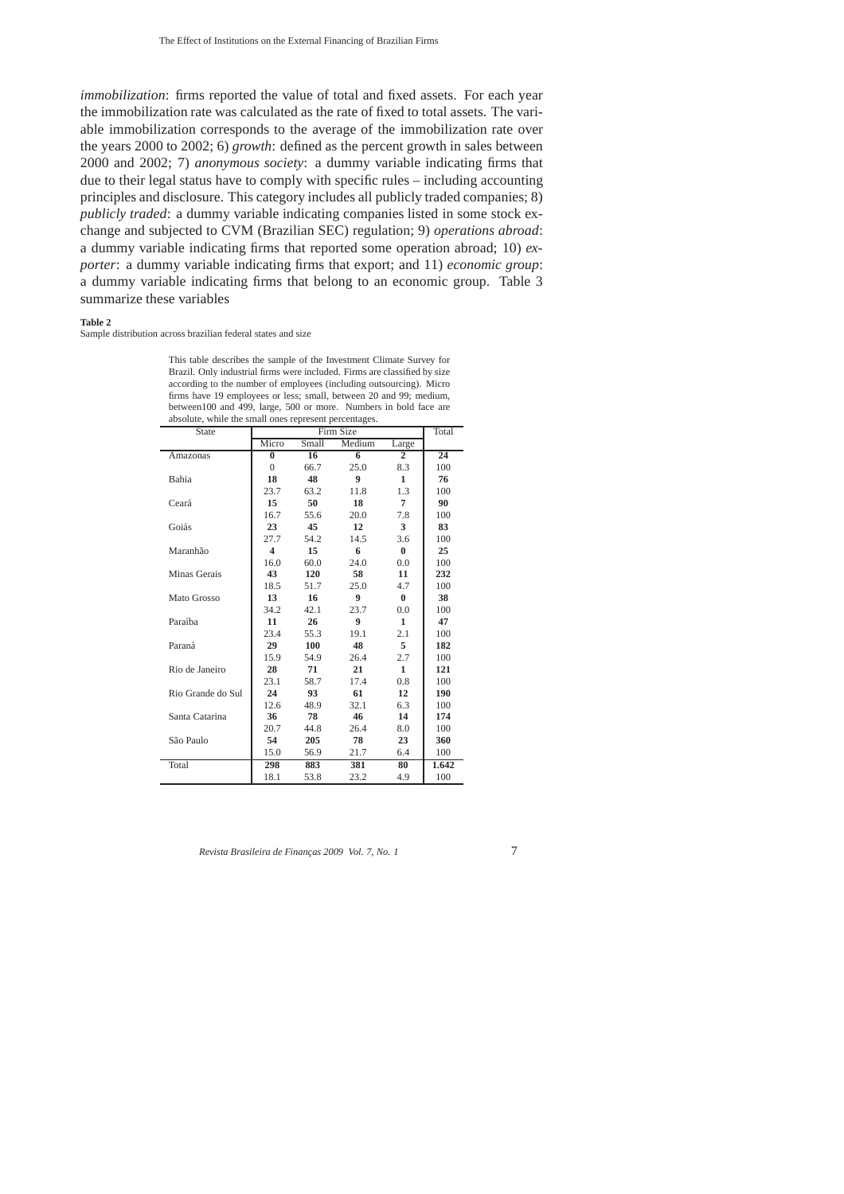*immobilization*: firms reported the value of total and fixed assets. For each year the immobilization rate was calculated as the rate of fixed to total assets. The variable immobilization corresponds to the average of the immobilization rate over the years 2000 to 2002; 6) *growth*: defined as the percent growth in sales between 2000 and 2002; 7) *anonymous society*: a dummy variable indicating firms that due to their legal status have to comply with specific rules – including accounting principles and disclosure. This category includes all publicly traded companies; 8) *publicly traded*: a dummy variable indicating companies listed in some stock exchange and subjected to CVM (Brazilian SEC) regulation; 9) *operations abroad*: a dummy variable indicating firms that reported some operation abroad; 10) *exporter*: a dummy variable indicating firms that export; and 11) *economic group*: a dummy variable indicating firms that belong to an economic group. Table 3 summarize these variables

#### **Table 2**

Sample distribution across brazilian federal states and size

This table describes the sample of the Investment Climate Survey for Brazil. Only industrial firms were included. Firms are classified by size according to the number of employees (including outsourcing). Micro firms have 19 employees or less; small, between 20 and 99; medium, between100 and 499, large, 500 or more. Numbers in bold face are absolute, while the small ones represent percentages.

| <b>State</b>      |                         |       | Firm Size        |                | Total |
|-------------------|-------------------------|-------|------------------|----------------|-------|
|                   | Micro                   | Small | Medium           | Large          |       |
| Amazonas          | $\bf{0}$                | 16    | $\overline{6}$   | $\overline{2}$ | 24    |
|                   | $\Omega$                | 66.7  | 25.0             | 8.3            | 100   |
| Bahia             | 18                      | 48    | $\boldsymbol{9}$ | $\mathbf{1}$   | 76    |
|                   | 23.7                    | 63.2  | 11.8             | 1.3            | 100   |
| Ceará             | 15                      | 50    | 18               | 7              | 90    |
|                   | 16.7                    | 55.6  | 20.0             | 7.8            | 100   |
| Goiás             | 23                      | 45    | 12               | 3              | 83    |
|                   | 27.7                    | 54.2  | 14.5             | 3.6            | 100   |
| Maranhão          | $\overline{\mathbf{4}}$ | 15    | 6                | $\bf{0}$       | 25    |
|                   | 16.0                    | 60.0  | 24.0             | 0.0            | 100   |
| Minas Gerais      | 43                      | 120   | 58               | 11             | 232   |
|                   | 18.5                    | 51.7  | 25.0             | 4.7            | 100   |
| Mato Grosso       | 13                      | 16    | 9                | $\bf{0}$       | 38    |
|                   | 34.2                    | 42.1  | 23.7             | 0.0            | 100   |
| Paraíba           | 11                      | 26    | 9                | 1              | 47    |
|                   | 23.4                    | 55.3  | 19.1             | 2.1            | 100   |
| Paraná            | 29                      | 100   | 48               | 5.             | 182   |
|                   | 15.9                    | 54.9  | 26.4             | 2.7            | 100   |
| Rio de Janeiro    | 28                      | 71    | 21               | 1              | 121   |
|                   | 23.1                    | 58.7  | 17.4             | 0.8            | 100   |
| Rio Grande do Sul | 24                      | 93    | 61               | 12             | 190   |
|                   | 12.6                    | 48.9  | 32.1             | 6.3            | 100   |
| Santa Catarina    | 36                      | 78    | 46               | 14             | 174   |
|                   | 20.7                    | 44.8  | 26.4             | 8.0            | 100   |
| São Paulo         | 54                      | 205   | 78               | 23             | 360   |
|                   | 15.0                    | 56.9  | 21.7             | 6.4            | 100   |
| Total             | 298                     | 883   | 381              | 80             | 1.642 |
|                   | 18.1                    | 53.8  | 23.2             | 4.9            | 100   |
|                   |                         |       |                  |                |       |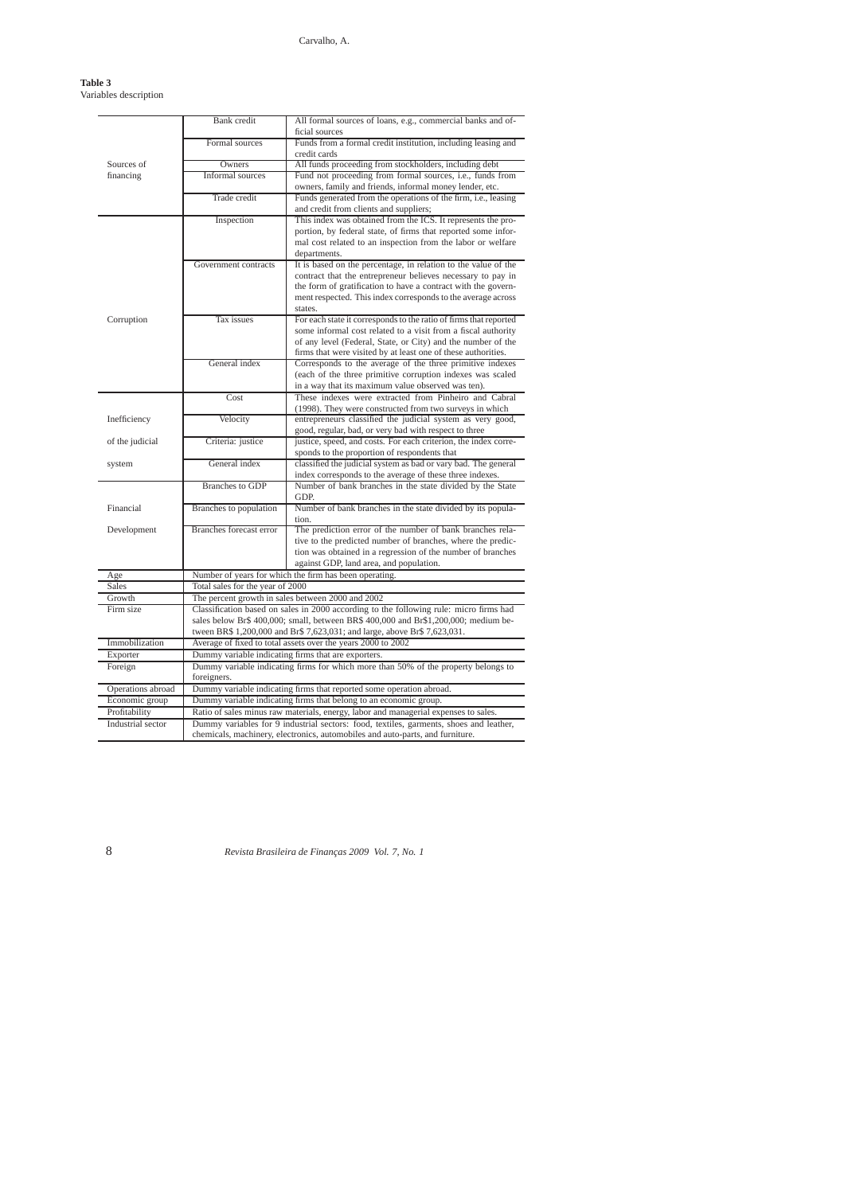# Carvalho, A.

## **Table 3** Variables description

|                                    | Bank credit                      | All formal sources of loans, e.g., commercial banks and of-                                                                               |
|------------------------------------|----------------------------------|-------------------------------------------------------------------------------------------------------------------------------------------|
|                                    |                                  | ficial sources                                                                                                                            |
|                                    | Formal sources                   | Funds from a formal credit institution, including leasing and                                                                             |
| Sources of                         | Owners                           | credit cards<br>All funds proceeding from stockholders, including debt                                                                    |
| financing                          | Informal sources                 | Fund not proceeding from formal sources, i.e., funds from                                                                                 |
|                                    |                                  | owners, family and friends, informal money lender, etc.                                                                                   |
|                                    | Trade credit                     | Funds generated from the operations of the firm, i.e., leasing                                                                            |
|                                    |                                  | and credit from clients and suppliers;                                                                                                    |
|                                    | Inspection                       | This index was obtained from the ICS. It represents the pro-                                                                              |
|                                    |                                  | portion, by federal state, of firms that reported some infor-                                                                             |
|                                    |                                  | mal cost related to an inspection from the labor or welfare                                                                               |
|                                    |                                  | departments.                                                                                                                              |
|                                    | Government contracts             | It is based on the percentage, in relation to the value of the                                                                            |
|                                    |                                  | contract that the entrepreneur believes necessary to pay in                                                                               |
|                                    |                                  | the form of gratification to have a contract with the govern-                                                                             |
|                                    |                                  | ment respected. This index corresponds to the average across                                                                              |
|                                    |                                  | states.                                                                                                                                   |
| Corruption                         | Tax issues                       | For each state it corresponds to the ratio of firms that reported                                                                         |
|                                    |                                  | some informal cost related to a visit from a fiscal authority                                                                             |
|                                    |                                  | of any level (Federal, State, or City) and the number of the                                                                              |
|                                    |                                  | firms that were visited by at least one of these authorities.                                                                             |
|                                    | General index                    | Corresponds to the average of the three primitive indexes                                                                                 |
|                                    |                                  | (each of the three primitive corruption indexes was scaled                                                                                |
|                                    |                                  | in a way that its maximum value observed was ten).                                                                                        |
|                                    | Cost                             | These indexes were extracted from Pinheiro and Cabral                                                                                     |
|                                    |                                  | (1998). They were constructed from two surveys in which                                                                                   |
| Inefficiency                       | Velocity                         | entrepreneurs classified the judicial system as very good,                                                                                |
|                                    |                                  | good, regular, bad, or very bad with respect to three                                                                                     |
| of the judicial                    | Criteria: justice                | justice, speed, and costs. For each criterion, the index corre-                                                                           |
|                                    |                                  | sponds to the proportion of respondents that                                                                                              |
| system                             | General index                    | classified the judicial system as bad or vary bad. The general                                                                            |
|                                    |                                  | index corresponds to the average of these three indexes.                                                                                  |
|                                    | <b>Branches</b> to GDP           | Number of bank branches in the state divided by the State                                                                                 |
|                                    |                                  | GDP.                                                                                                                                      |
| Financial                          | Branches to population           | Number of bank branches in the state divided by its popula-                                                                               |
|                                    | <b>Branches forecast error</b>   | tion.                                                                                                                                     |
| Development                        |                                  | The prediction error of the number of bank branches rela-                                                                                 |
|                                    |                                  | tive to the predicted number of branches, where the predic-                                                                               |
|                                    |                                  | tion was obtained in a regression of the number of branches<br>against GDP, land area, and population.                                    |
|                                    |                                  | Number of years for which the firm has been operating.                                                                                    |
| Age<br>Sales                       | Total sales for the year of 2000 |                                                                                                                                           |
| Growth                             |                                  | The percent growth in sales between 2000 and 2002                                                                                         |
| Firm size                          |                                  |                                                                                                                                           |
|                                    |                                  | Classification based on sales in 2000 according to the following rule: micro firms had                                                    |
|                                    |                                  | sales below Br\$ 400,000; small, between BR\$ 400,000 and Br\$1,200,000; medium be-                                                       |
| Immobilization                     |                                  | tween BR\$ 1,200,000 and Br\$ 7,623,031; and large, above Br\$ 7,623,031.<br>Average of fixed to total assets over the years 2000 to 2002 |
| Exporter                           |                                  | Dummy variable indicating firms that are exporters.                                                                                       |
| Foreign                            |                                  | Dummy variable indicating firms for which more than 50% of the property belongs to                                                        |
|                                    | foreigners.                      |                                                                                                                                           |
| Operations abroad                  |                                  |                                                                                                                                           |
| Economic group                     |                                  | Dummy variable indicating firms that reported some operation abroad.                                                                      |
|                                    |                                  | Dummy variable indicating firms that belong to an economic group.                                                                         |
| Profitability<br>Industrial sector |                                  | Ratio of sales minus raw materials, energy, labor and managerial expenses to sales.                                                       |
|                                    |                                  | Dummy variables for 9 industrial sectors: food, textiles, garments, shoes and leather,                                                    |
|                                    |                                  | chemicals, machinery, electronics, automobiles and auto-parts, and furniture.                                                             |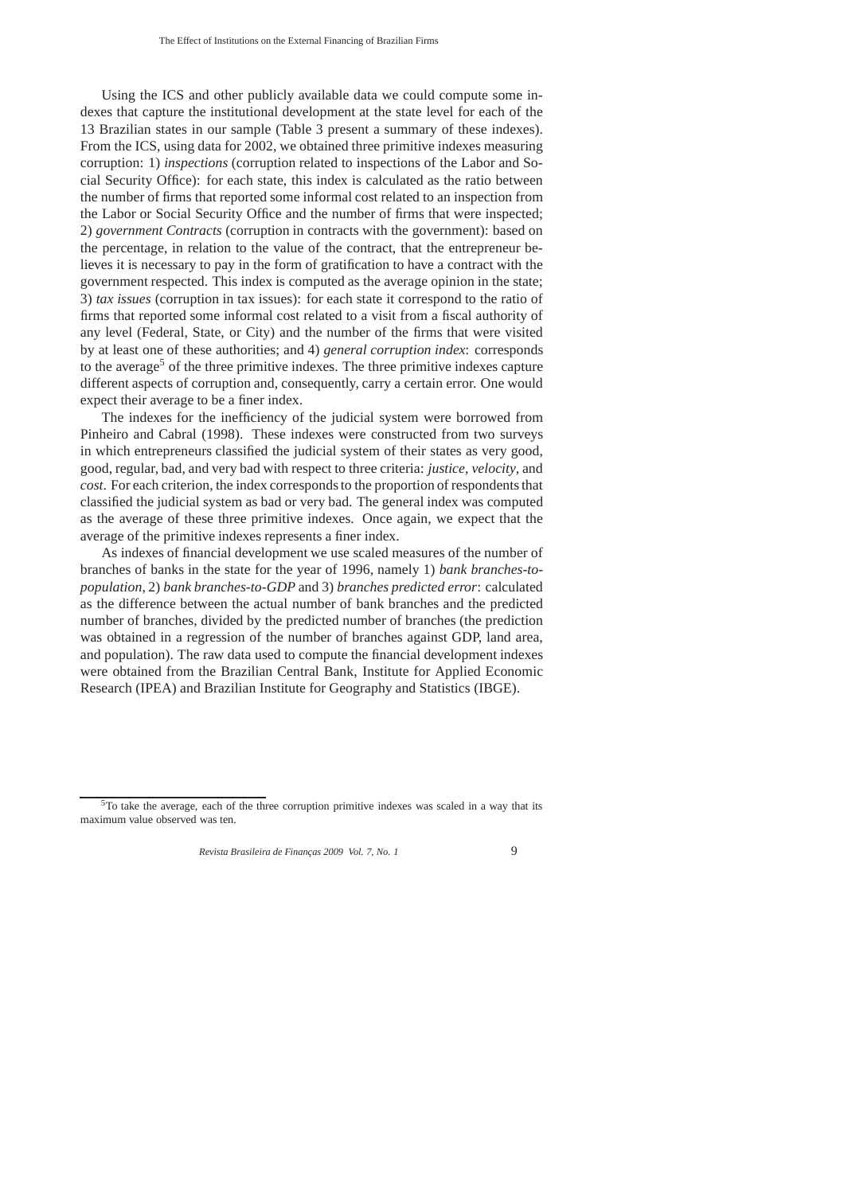Using the ICS and other publicly available data we could compute some indexes that capture the institutional development at the state level for each of the 13 Brazilian states in our sample (Table 3 present a summary of these indexes). From the ICS, using data for 2002, we obtained three primitive indexes measuring corruption: 1) *inspections* (corruption related to inspections of the Labor and Social Security Office): for each state, this index is calculated as the ratio between the number of firms that reported some informal cost related to an inspection from the Labor or Social Security Office and the number of firms that were inspected; 2) *government Contracts* (corruption in contracts with the government): based on the percentage, in relation to the value of the contract, that the entrepreneur believes it is necessary to pay in the form of gratification to have a contract with the government respected. This index is computed as the average opinion in the state; 3) *tax issues* (corruption in tax issues): for each state it correspond to the ratio of firms that reported some informal cost related to a visit from a fiscal authority of any level (Federal, State, or City) and the number of the firms that were visited by at least one of these authorities; and 4) *general corruption index*: corresponds to the average<sup>5</sup> of the three primitive indexes. The three primitive indexes capture different aspects of corruption and, consequently, carry a certain error. One would expect their average to be a finer index.

The indexes for the inefficiency of the judicial system were borrowed from Pinheiro and Cabral (1998). These indexes were constructed from two surveys in which entrepreneurs classified the judicial system of their states as very good, good, regular, bad, and very bad with respect to three criteria: *justice*, *velocity*, and *cost*. For each criterion, the index corresponds to the proportion of respondents that classified the judicial system as bad or very bad. The general index was computed as the average of these three primitive indexes. Once again, we expect that the average of the primitive indexes represents a finer index.

As indexes of financial development we use scaled measures of the number of branches of banks in the state for the year of 1996, namely 1) *bank branches-topopulation*, 2) *bank branches-to-GDP* and 3) *branches predicted error*: calculated as the difference between the actual number of bank branches and the predicted number of branches, divided by the predicted number of branches (the prediction was obtained in a regression of the number of branches against GDP, land area, and population). The raw data used to compute the financial development indexes were obtained from the Brazilian Central Bank, Institute for Applied Economic Research (IPEA) and Brazilian Institute for Geography and Statistics (IBGE).

 $5T$ o take the average, each of the three corruption primitive indexes was scaled in a way that its maximum value observed was ten.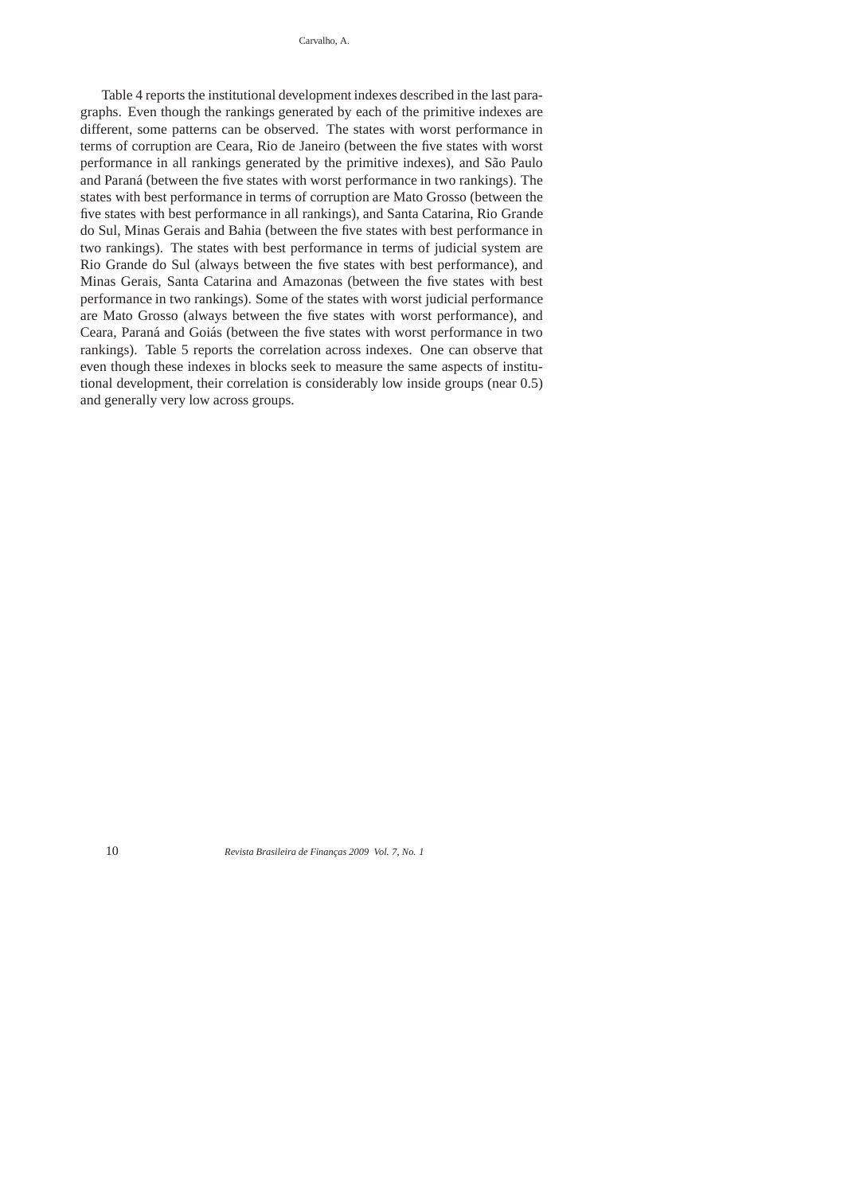Carvalho, A.

Table 4 reports the institutional development indexes described in the last paragraphs. Even though the rankings generated by each of the primitive indexes are different, some patterns can be observed. The states with worst performance in terms of corruption are Ceara, Rio de Janeiro (between the five states with worst performance in all rankings generated by the primitive indexes), and São Paulo and Paraná (between the five states with worst performance in two rankings). The states with best performance in terms of corruption are Mato Grosso (between the five states with best performance in all rankings), and Santa Catarina, Rio Grande do Sul, Minas Gerais and Bahia (between the five states with best performance in two rankings). The states with best performance in terms of judicial system are Rio Grande do Sul (always between the five states with best performance), and Minas Gerais, Santa Catarina and Amazonas (between the five states with best performance in two rankings). Some of the states with worst judicial performance are Mato Grosso (always between the five states with worst performance), and Ceara, Paraná and Goiás (between the five states with worst performance in two rankings). Table 5 reports the correlation across indexes. One can observe that even though these indexes in blocks seek to measure the same aspects of institutional development, their correlation is considerably low inside groups (near 0.5) and generally very low across groups.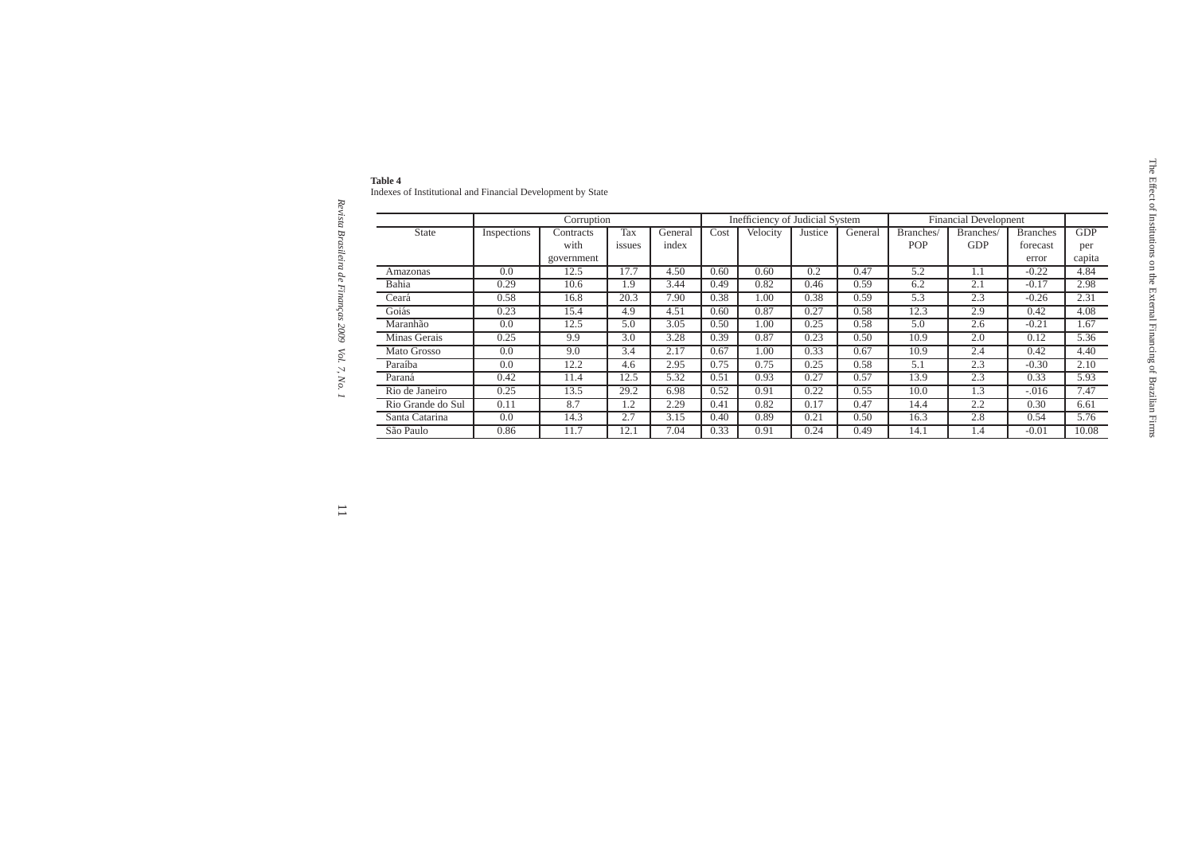|                   |             | Corruption                      |               |                  | Inefficiency of Judicial System |          |         |         | <b>Financial Developnent</b> |                         |                                      |                             |
|-------------------|-------------|---------------------------------|---------------|------------------|---------------------------------|----------|---------|---------|------------------------------|-------------------------|--------------------------------------|-----------------------------|
| <b>State</b>      | Inspections | Contracts<br>with<br>government | Tax<br>issues | General<br>index | Cost                            | Velocity | Justice | General | Branches/<br>POP             | Branches/<br><b>GDP</b> | <b>Branches</b><br>forecast<br>error | <b>GDP</b><br>per<br>capita |
| Amazonas          | 0.0         | 12.5                            | 17.7          | 4.50             | 0.60                            | 0.60     | 0.2     | 0.47    | 5.2                          | 1.1                     | $-0.22$                              | 4.84                        |
| Bahia             | 0.29        | 10.6                            | 1.9           | 3.44             | 0.49                            | 0.82     | 0.46    | 0.59    | 6.2                          | 2.1                     | $-0.17$                              | 2.98                        |
| Ceará             | 0.58        | 16.8                            | 20.3          | 7.90             | 0.38                            | 1.00     | 0.38    | 0.59    | 5.3                          | 2.3                     | $-0.26$                              | 2.31                        |
| Goiás             | 0.23        | 15.4                            | 4.9           | 4.51             | 0.60                            | 0.87     | 0.27    | 0.58    | 12.3                         | 2.9                     | 0.42                                 | 4.08                        |
| Maranhão          | 0.0         | 12.5                            | 5.0           | 3.05             | 0.50                            | 1.00     | 0.25    | 0.58    | 5.0                          | 2.6                     | $-0.21$                              | 1.67                        |
| Minas Gerais      | 0.25        | 9.9                             | 3.0           | 3.28             | 0.39                            | 0.87     | 0.23    | 0.50    | 10.9                         | 2.0                     | 0.12                                 | 5.36                        |
| Mato Grosso       | 0.0         | 9.0                             | 3.4           | 2.17             | 0.67                            | 1.00     | 0.33    | 0.67    | 10.9                         | 2.4                     | 0.42                                 | 4.40                        |
| Paraíba           | 0.0         | 12.2                            | 4.6           | 2.95             | 0.75                            | 0.75     | 0.25    | 0.58    | 5.1                          | 2.3                     | $-0.30$                              | 2.10                        |
| Paraná            | 0.42        | 11.4                            | 12.5          | 5.32             | 0.51                            | 0.93     | 0.27    | 0.57    | 13.9                         | 2.3                     | 0.33                                 | 5.93                        |
| Rio de Janeiro    | 0.25        | 13.5                            | 29.2          | 6.98             | 0.52                            | 0.91     | 0.22    | 0.55    | 10.0                         | 1.3                     | $-.016$                              | 7.47                        |
| Rio Grande do Sul | 0.11        | 8.7                             | 1.2           | 2.29             | 0.41                            | 0.82     | 0.17    | 0.47    | 14.4                         | 2.2                     | 0.30                                 | 6.61                        |
| Santa Catarina    | 0.0         | 14.3                            | 2.7           | 3.15             | 0.40                            | 0.89     | 0.21    | 0.50    | 16.3                         | 2.8                     | 0.54                                 | 5.76                        |
| São Paulo         | 0.86        | 11.7                            | 12.1          | 7.04             | 0.33                            | 0.91     | 0.24    | 0.49    | 14.1                         | 1.4                     | $-0.01$                              | 10.08                       |

| таріе 4                                                 |  |  |
|---------------------------------------------------------|--|--|
| Indexes of Institutional and Financial Development by S |  |  |

Revista Brasileira de Finanças 2009 Vol. 7, No. 1 *Revista Brasileira de Financ¸as 2009 Vol. 7, No. 1*

 $\overline{\phantom{a}}$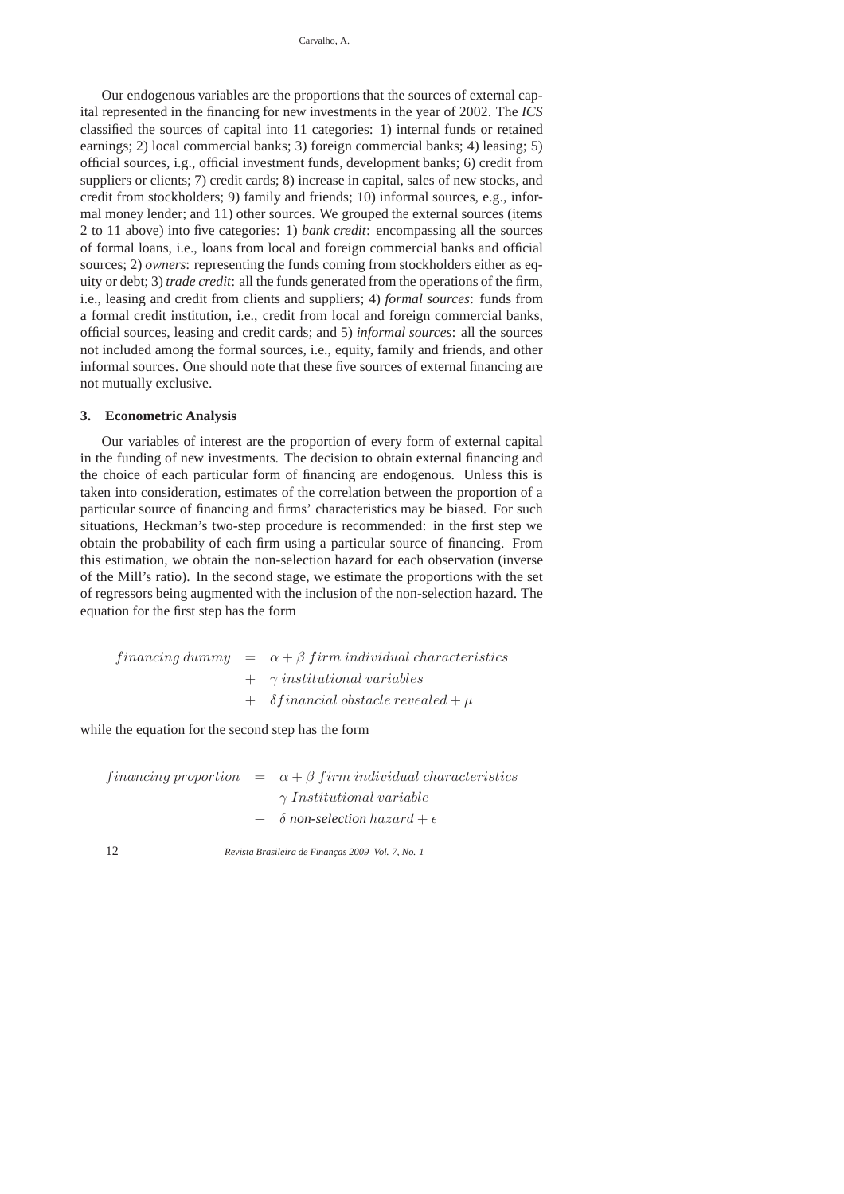Our endogenous variables are the proportions that the sources of external capital represented in the financing for new investments in the year of 2002. The *ICS* classified the sources of capital into 11 categories: 1) internal funds or retained earnings; 2) local commercial banks; 3) foreign commercial banks; 4) leasing; 5) official sources, i.g., official investment funds, development banks; 6) credit from suppliers or clients; 7) credit cards; 8) increase in capital, sales of new stocks, and credit from stockholders; 9) family and friends; 10) informal sources, e.g., informal money lender; and 11) other sources. We grouped the external sources (items 2 to 11 above) into five categories: 1) *bank credit*: encompassing all the sources of formal loans, i.e., loans from local and foreign commercial banks and official sources; 2) *owners*: representing the funds coming from stockholders either as equity or debt; 3) *trade credit*: all the funds generated from the operations of the firm, i.e., leasing and credit from clients and suppliers; 4) *formal sources*: funds from a formal credit institution, i.e., credit from local and foreign commercial banks, official sources, leasing and credit cards; and 5) *informal sources*: all the sources not included among the formal sources, i.e., equity, family and friends, and other informal sources. One should note that these five sources of external financing are not mutually exclusive.

# **3. Econometric Analysis**

Our variables of interest are the proportion of every form of external capital in the funding of new investments. The decision to obtain external financing and the choice of each particular form of financing are endogenous. Unless this is taken into consideration, estimates of the correlation between the proportion of a particular source of financing and firms' characteristics may be biased. For such situations, Heckman's two-step procedure is recommended: in the first step we obtain the probability of each firm using a particular source of financing. From this estimation, we obtain the non-selection hazard for each observation (inverse of the Mill's ratio). In the second stage, we estimate the proportions with the set of regressors being augmented with the inclusion of the non-selection hazard. The equation for the first step has the form

financing dummy  $= \alpha + \beta$  firm individual characteristics  $+$   $\gamma$  institutional variables  $+ \delta$  financial obstacle revealed  $+ \mu$ 

while the equation for the second step has the form

financing proportion  $= \alpha + \beta$  firm individual characteristics  $+ \gamma$  Institutional variable  $+ \delta$  *non-selection* hazard  $+ \epsilon$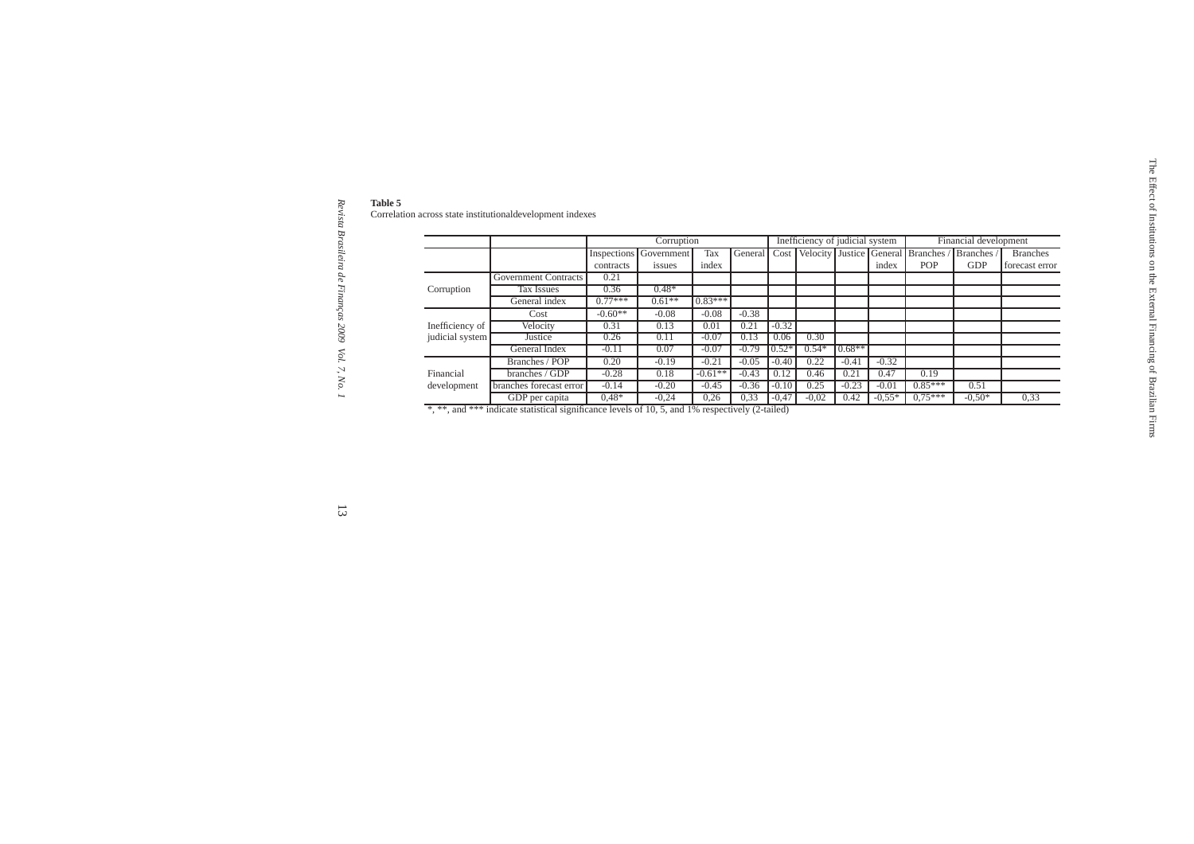Revista Brasileira de Finanças 2009 Vol. 7, No. 1 *Revista Brasileira de Financ¸as 2009 Vol. 7, No. 1*

|                 | Correlation across state institutionaldevelopment indexes |           |                               |           |              |         |                                 |          |          |                                                |                       |                 |
|-----------------|-----------------------------------------------------------|-----------|-------------------------------|-----------|--------------|---------|---------------------------------|----------|----------|------------------------------------------------|-----------------------|-----------------|
|                 |                                                           |           |                               |           |              |         |                                 |          |          |                                                |                       |                 |
|                 |                                                           |           | Corruption                    |           |              |         | Inefficiency of judicial system |          |          |                                                | Financial development |                 |
|                 |                                                           |           | <b>Inspections</b> Government | Tax       | General Cost |         |                                 |          |          | Velocity Justice General Branches / Branches / |                       | <b>Branches</b> |
|                 |                                                           | contracts | issues                        | index     |              |         |                                 |          | index    | POP                                            | <b>GDP</b>            | forecast error  |
|                 | <b>Government Contracts</b>                               | 0.21      |                               |           |              |         |                                 |          |          |                                                |                       |                 |
| Corruption      | Tax Issues                                                | 0.36      | $0.48*$                       |           |              |         |                                 |          |          |                                                |                       |                 |
|                 | General index                                             | $0.77***$ | $0.61**$                      | $0.83***$ |              |         |                                 |          |          |                                                |                       |                 |
|                 | Cost                                                      | $-0.60**$ | $-0.08$                       | $-0.08$   | $-0.38$      |         |                                 |          |          |                                                |                       |                 |
| Inefficiency of | Velocity                                                  | 0.31      | 0.13                          | 0.01      | 0.21         | $-0.32$ |                                 |          |          |                                                |                       |                 |
| judicial system | Justice                                                   | 0.26      | 0.11                          | $-0.07$   | 0.13         | 0.06    | 0.30                            |          |          |                                                |                       |                 |
|                 | General Index                                             | $-0.11$   | 0.07                          | $-0.07$   | $-0.79$      | $0.52*$ | $0.54*$                         | $0.68**$ |          |                                                |                       |                 |
|                 | Branches / POP                                            | 0.20      | $-0.19$                       | $-0.21$   | $-0.05$      | $-0.40$ | 0.22                            | $-0.41$  | $-0.32$  |                                                |                       |                 |
| Financial       | branches / GDP                                            | $-0.28$   | 0.18                          | $-0.61**$ | $-0.43$      | 0.12    | 0.46                            | 0.21     | 0.47     | 0.19                                           |                       |                 |
| development     | branches forecast error                                   | $-0.14$   | $-0.20$                       | $-0.45$   | $-0.36$      | $-0.10$ | 0.25                            | $-0.23$  | $-0.01$  | $0.85***$                                      | 0.51                  |                 |
|                 | GDP per capita                                            | $0,48*$   | $-0,24$                       | 0,26      | 0,33         | $-0,47$ | $-0,02$                         | 0.42     | $-0,55*$ | $0.75***$                                      | $-0,50*$              | 0,33            |

 $\overline{3}$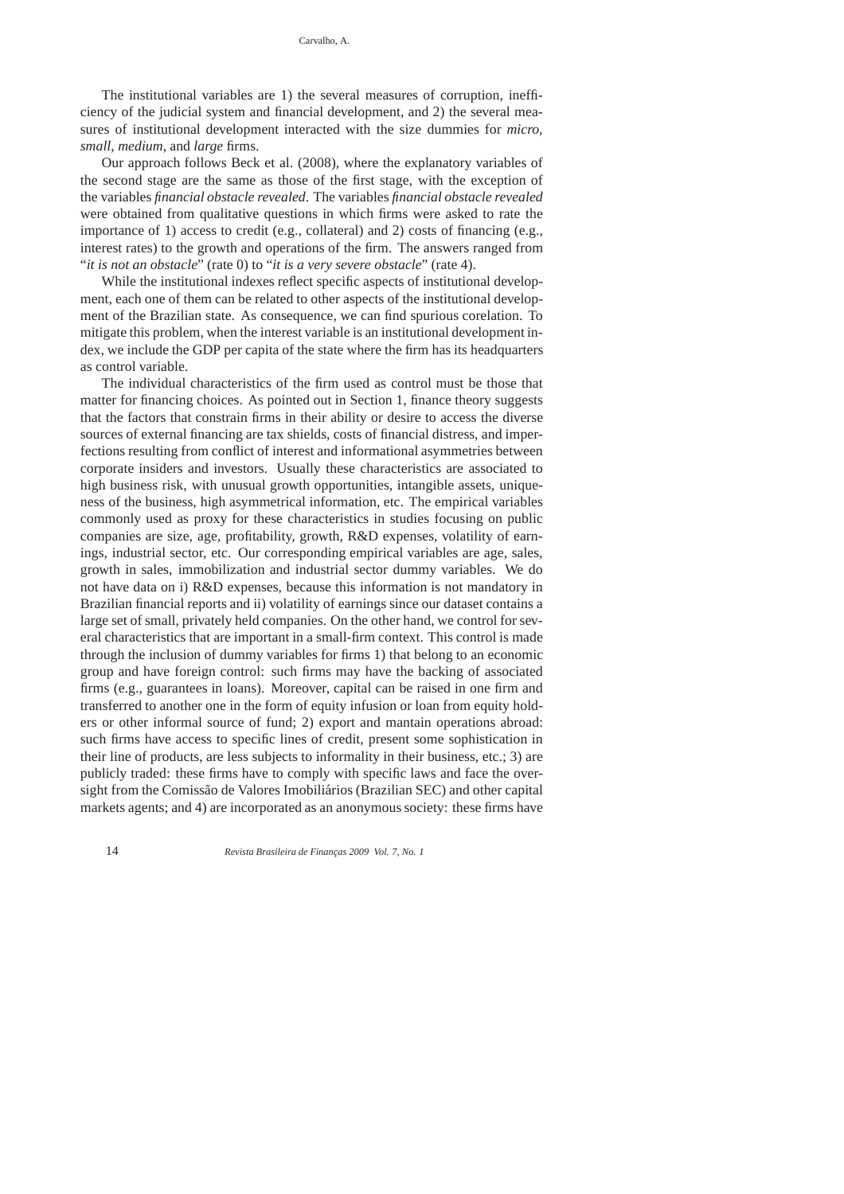The institutional variables are 1) the several measures of corruption, inefficiency of the judicial system and financial development, and 2) the several measures of institutional development interacted with the size dummies for *micro*, *small*, *medium*, and *large* firms.

Our approach follows Beck et al. (2008), where the explanatory variables of the second stage are the same as those of the first stage, with the exception of the variables *financial obstacle revealed*. The variables *financial obstacle revealed* were obtained from qualitative questions in which firms were asked to rate the importance of 1) access to credit (e.g., collateral) and 2) costs of financing (e.g., interest rates) to the growth and operations of the firm. The answers ranged from "*it is not an obstacle*" (rate 0) to "*it is a very severe obstacle*" (rate 4).

While the institutional indexes reflect specific aspects of institutional development, each one of them can be related to other aspects of the institutional development of the Brazilian state. As consequence, we can find spurious corelation. To mitigate this problem, when the interest variable is an institutional development index, we include the GDP per capita of the state where the firm has its headquarters as control variable.

The individual characteristics of the firm used as control must be those that matter for financing choices. As pointed out in Section 1, finance theory suggests that the factors that constrain firms in their ability or desire to access the diverse sources of external financing are tax shields, costs of financial distress, and imperfections resulting from conflict of interest and informational asymmetries between corporate insiders and investors. Usually these characteristics are associated to high business risk, with unusual growth opportunities, intangible assets, uniqueness of the business, high asymmetrical information, etc. The empirical variables commonly used as proxy for these characteristics in studies focusing on public companies are size, age, profitability, growth, R&D expenses, volatility of earnings, industrial sector, etc. Our corresponding empirical variables are age, sales, growth in sales, immobilization and industrial sector dummy variables. We do not have data on i) R&D expenses, because this information is not mandatory in Brazilian financial reports and ii) volatility of earnings since our dataset contains a large set of small, privately held companies. On the other hand, we control for several characteristics that are important in a small-firm context. This control is made through the inclusion of dummy variables for firms 1) that belong to an economic group and have foreign control: such firms may have the backing of associated firms (e.g., guarantees in loans). Moreover, capital can be raised in one firm and transferred to another one in the form of equity infusion or loan from equity holders or other informal source of fund; 2) export and mantain operations abroad: such firms have access to specific lines of credit, present some sophistication in their line of products, are less subjects to informality in their business, etc.; 3) are publicly traded: these firms have to comply with specific laws and face the oversight from the Comissão de Valores Imobiliários (Brazilian SEC) and other capital markets agents; and 4) are incorporated as an anonymous society: these firms have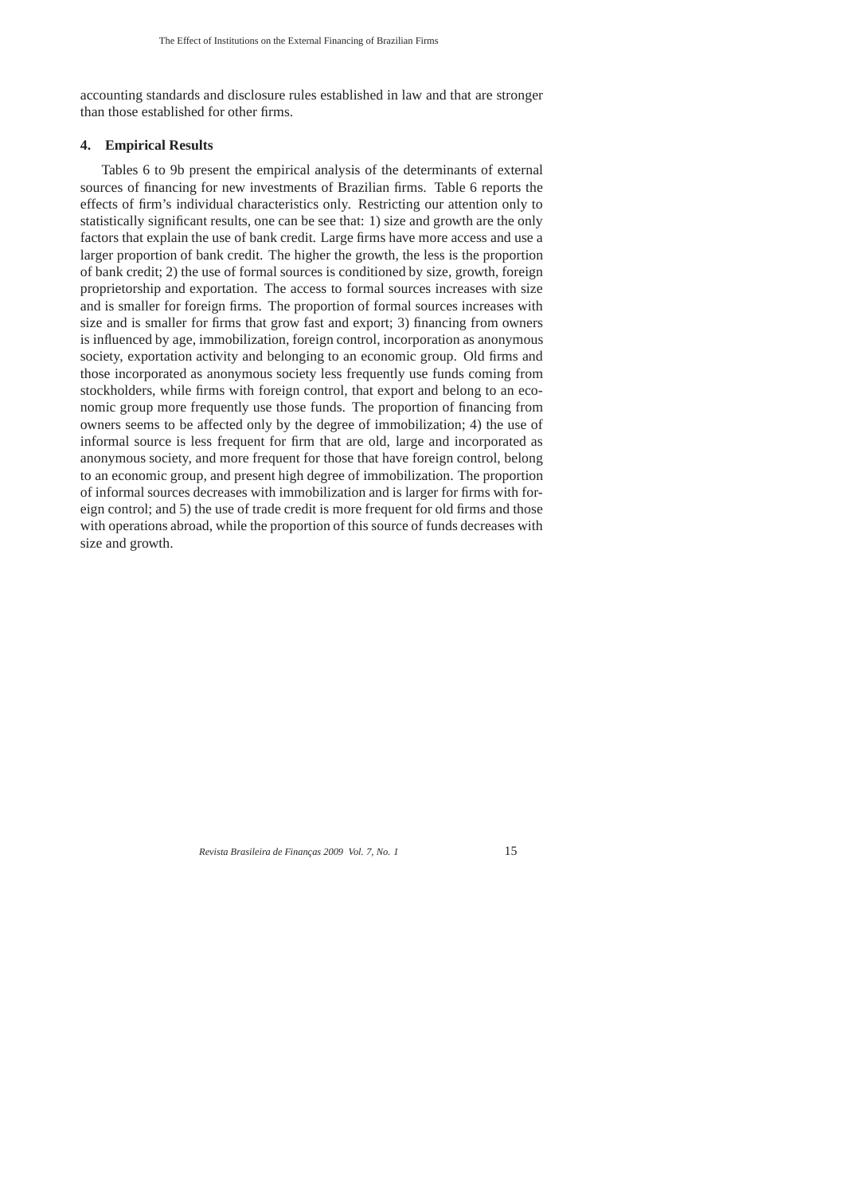accounting standards and disclosure rules established in law and that are stronger than those established for other firms.

# **4. Empirical Results**

Tables 6 to 9b present the empirical analysis of the determinants of external sources of financing for new investments of Brazilian firms. Table 6 reports the effects of firm's individual characteristics only. Restricting our attention only to statistically significant results, one can be see that: 1) size and growth are the only factors that explain the use of bank credit. Large firms have more access and use a larger proportion of bank credit. The higher the growth, the less is the proportion of bank credit; 2) the use of formal sources is conditioned by size, growth, foreign proprietorship and exportation. The access to formal sources increases with size and is smaller for foreign firms. The proportion of formal sources increases with size and is smaller for firms that grow fast and export; 3) financing from owners is influenced by age, immobilization, foreign control, incorporation as anonymous society, exportation activity and belonging to an economic group. Old firms and those incorporated as anonymous society less frequently use funds coming from stockholders, while firms with foreign control, that export and belong to an economic group more frequently use those funds. The proportion of financing from owners seems to be affected only by the degree of immobilization; 4) the use of informal source is less frequent for firm that are old, large and incorporated as anonymous society, and more frequent for those that have foreign control, belong to an economic group, and present high degree of immobilization. The proportion of informal sources decreases with immobilization and is larger for firms with foreign control; and 5) the use of trade credit is more frequent for old firms and those with operations abroad, while the proportion of this source of funds decreases with size and growth.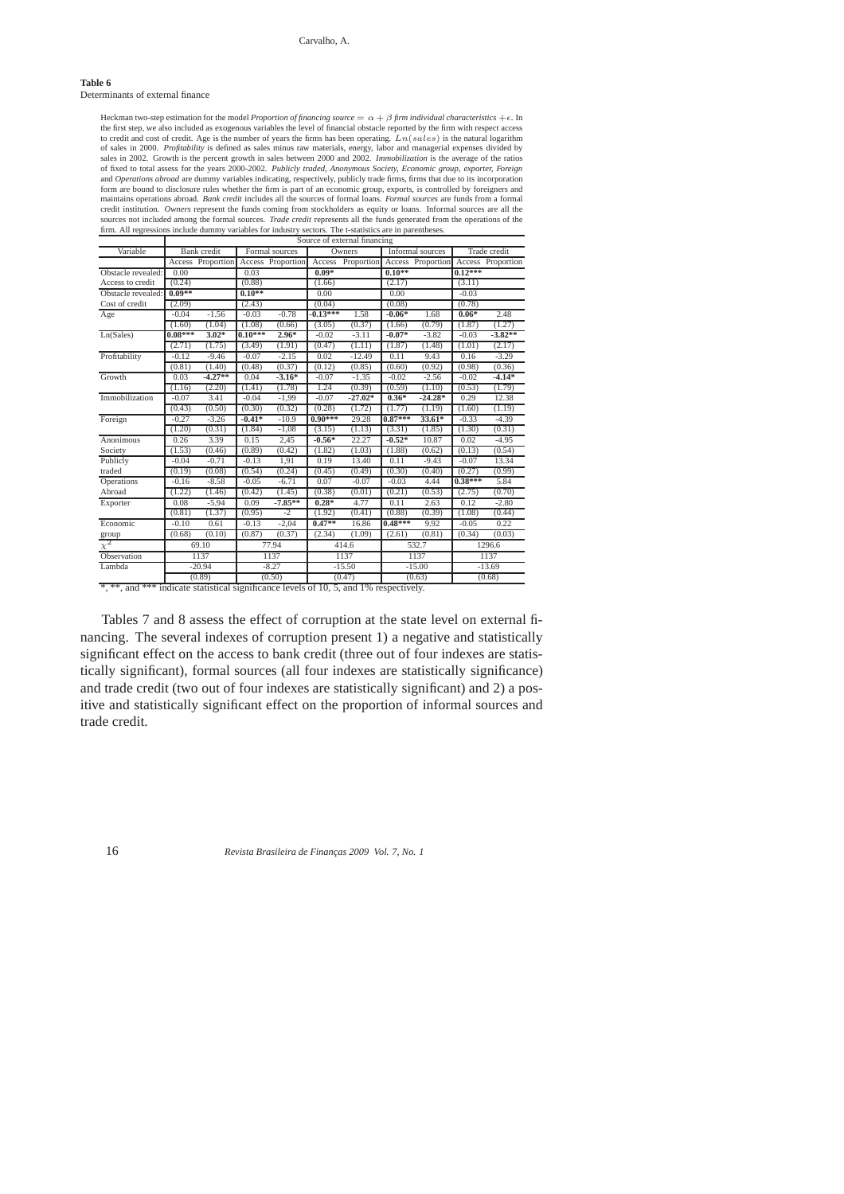### **Table 6**

Determinants of external finance

Heckman two-step estimation for the model *Proportion of financing source*  $= \alpha + \beta$  *firm individual characteristics* +  $\epsilon$ . In the first step, we also included as exogenous variables the level of financial obstacle repo to credit and cost of credit. Age is the number of years the firms has been operating.  $Ln(sales)$  is the natural logarithm<br>of sales in 2000. Profitability is defined as sales minus raw materials, energy, labor and managerial sales in 2002. Growth is the percent growth in sales between 2000 and 2002. Immobilization is the average of the ratios<br>of fixed to total assess for the years 2000-2002. Publicly traded, Anonymous Society, Economic group, and *Operations abroad* are dummy variables indicating, respectively, publicly trade firms, firms that due to its incorporation and *Operations abroad* are dummy variables indicating, respectively, publicly trade firms, fi form are bound to disclosure rules whether the firm is part of an economic group, exports, is controlled by foreigners and<br>maintains operations abroad. *Bank credit* includes all the sources of formal loans. *Formal source* credit institution. Owners represent the funds coming from stockholders as equity or loans. Informal sources are all the<br>sources not included among the formal sources. Trade credit represents all the funds generated from t firm. All regressions include dummy variables for industry sectors. The t-statistics are in parenthese

|                                                                                        |           |                    |           |                   |            | Source of external financing |           |                   |           |                   |
|----------------------------------------------------------------------------------------|-----------|--------------------|-----------|-------------------|------------|------------------------------|-----------|-------------------|-----------|-------------------|
| Variable                                                                               |           | <b>Bank</b> credit |           | Formal sources    |            | Owners                       |           | Informal sources  |           | Trade credit      |
|                                                                                        |           | Access Proportion  |           | Access Proportion | Access     | Proportion                   |           | Access Proportion |           | Access Proportion |
| Obstacle revealed:                                                                     | 0.00      |                    | 0.03      |                   | $0.09*$    |                              | $0.10**$  |                   | $0.12***$ |                   |
| Access to credit                                                                       | (0.24)    |                    | (0.88)    |                   | (1.66)     |                              | (2.17)    |                   | (3.11)    |                   |
| Obstacle revealed:                                                                     | $0.09**$  |                    | $0.10**$  |                   | 0.00       |                              | 0.00      |                   | $-0.03$   |                   |
| Cost of credit                                                                         | (2.09)    |                    | (2.43)    |                   | (0.04)     |                              | (0.08)    |                   | (0.78)    |                   |
| Age                                                                                    | $-0.04$   | $-1.56$            | $-0.03$   | $-0.78$           | $-0.13***$ | 1.58                         | $-0.06*$  | 1.68              | $0.06*$   | 2.48              |
|                                                                                        | (1.60)    | (1.04)             | (1.08)    | (0.66)            | (3.05)     | (0.37)                       | (1.66)    | (0.79)            | (1.87)    | (1.27)            |
| Ln(Sales)                                                                              | $0.08***$ | $3.02*$            | $0.10***$ | $2.96*$           | $-0.02$    | $-3.11$                      | $-0.07*$  | $-3.82$           | $-0.03$   | $-3.82**$         |
|                                                                                        | (2.71)    | (1.75)             | (3.49)    | (1.91)            | (0.47)     | (1.11)                       | (1.87)    | (1.48)            | (1.01)    | (2.17)            |
| Profitability                                                                          | $-0.12$   | $-9.46$            | $-0.07$   | $-2.15$           | 0.02       | $-12.49$                     | 0.11      | 9.43              | 0.16      | $-3.29$           |
|                                                                                        | (0.81)    | (1.40)             | (0.48)    | (0.37)            | (0.12)     | (0.85)                       | (0.60)    | (0.92)            | (0.98)    | (0.36)            |
| Growth                                                                                 | 0.03      | $-4.27**$          | 0.04      | $-3.16*$          | $-0.07$    | $-1.35$                      | $-0.02$   | $-2.56$           | $-0.02$   | $-4.14*$          |
|                                                                                        | (1.16)    | (2.20)             | (1.41)    | (1.78)            | 1.24       | (0.39)                       | (0.59)    | (1.10)            | (0.53)    | (1.79)            |
| Immobilization                                                                         | $-0.07$   | 3.41               | $-0.04$   | $-1,99$           | $-0.07$    | $-27.02*$                    | $0.36*$   | $-24.28*$         | 0.29      | 12.38             |
|                                                                                        | (0.43)    | (0.50)             | (0.30)    | (0.32)            | (0.28)     | (1.72)                       | (1.77)    | (1.19)            | (1.60)    | (1.19)            |
| Foreign                                                                                | $-0.27$   | $-3.26$            | $-0.41*$  | $-10.9$           | $0.90***$  | 29.28                        | $0.87***$ | $33.61*$          | $-0.33$   | $-4.39$           |
|                                                                                        | (1.20)    | (0.31)             | (1.84)    | $-1,08$           | (3.15)     | (1.13)                       | (3.31)    | (1.85)            | (1.30)    | (0.31)            |
| Anonimous                                                                              | 0.26      | 3.39               | 0.15      | 2,45              | $-0.56*$   | 22.27                        | $-0.52*$  | 10.87             | 0.02      | $-4.95$           |
| Society                                                                                | (1.53)    | (0.46)             | (0.89)    | (0.42)            | (1.82)     | (1.03)                       | (1.88)    | (0.62)            | (0.13)    | (0.54)            |
| Publicly                                                                               | $-0.04$   | $-0.71$            | $-0.13$   | 1,91              | 0.19       | 13.40                        | 0.11      | $-9.43$           | $-0.07$   | 13.34             |
| traded                                                                                 | (0.19)    | (0.08)             | (0.54)    | (0.24)            | (0.45)     | (0.49)                       | (0.30)    | (0.40)            | (0.27)    | (0.99)            |
| Operations                                                                             | $-0.16$   | $-8.58$            | $-0.05$   | $-6.71$           | 0.07       | $-0.07$                      | $-0.03$   | 4.44              | $0.38***$ | 5.84              |
| Abroad                                                                                 | (1.22)    | (1.46)             | (0.42)    | (1.45)            | (0.38)     | (0.01)                       | (0.21)    | (0.53)            | (2.75)    | (0.70)            |
| Exporter                                                                               | 0.08      | $-5.94$            | 0.09      | $-7.85***$        | $0.28*$    | 4.77                         | 0.11      | 2.63              | 0.12      | $-2.80$           |
|                                                                                        | (0.81)    | (1.37)             | (0.95)    | $-2$              | (1.92)     | (0.41)                       | (0.88)    | (0.39)            | (1.08)    | (0.44)            |
| Economic                                                                               | $-0.10$   | 0.61               | $-0.13$   | $-2.04$           | $0.47**$   | 16.86                        | $0.48***$ | 9.92              | $-0.05$   | 0.22              |
| group                                                                                  | (0.68)    | (0.10)             | (0.87)    | (0.37)            | (2.34)     | (1.09)                       | (2.61)    | (0.81)            | (0.34)    | (0.03)            |
| $\chi^2$                                                                               |           | 69.10              |           | 77.94             |            | 414.6                        |           | 532.7             |           | 1296.6            |
| Observation                                                                            |           | 1137               |           | 1137              |            | 1137                         |           | 1137              |           | 1137              |
| Lambda                                                                                 |           | $-20.94$           |           | $-8.27$           |            | $-15.50$                     |           | $-15.00$          |           | $-13.69$          |
|                                                                                        |           | (0.89)             |           | (0.50)            |            | (0.47)                       |           | (0.63)            |           | (0.68)            |
| *, **, and *** indicate statistical significance levels of 10, 5, and 1% respectively. |           |                    |           |                   |            |                              |           |                   |           |                   |

Tables 7 and 8 assess the effect of corruption at the state level on external financing. The several indexes of corruption present 1) a negative and statistically significant effect on the access to bank credit (three out of four indexes are statistically significant), formal sources (all four indexes are statistically significance) and trade credit (two out of four indexes are statistically significant) and 2) a positive and statistically significant effect on the proportion of informal sources and trade credit.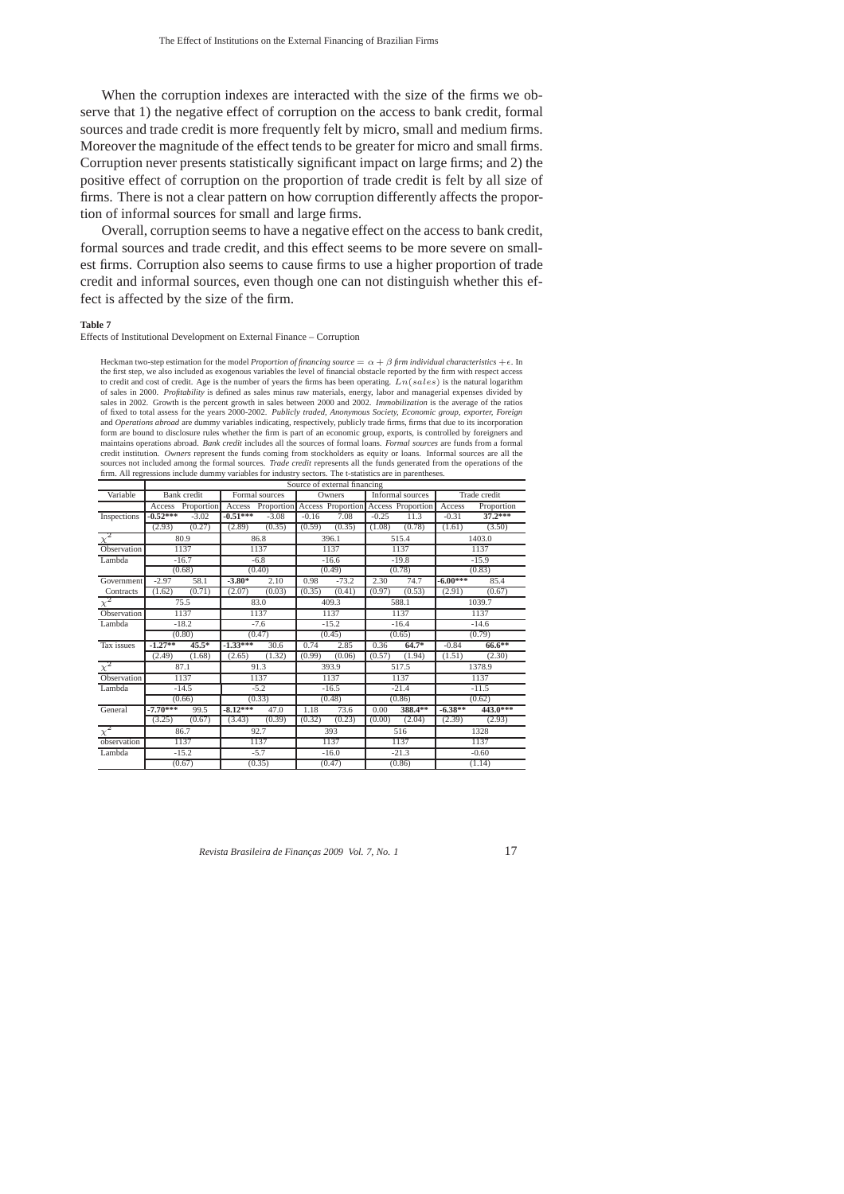When the corruption indexes are interacted with the size of the firms we observe that 1) the negative effect of corruption on the access to bank credit, formal sources and trade credit is more frequently felt by micro, small and medium firms. Moreover the magnitude of the effect tends to be greater for micro and small firms. Corruption never presents statistically significant impact on large firms; and 2) the positive effect of corruption on the proportion of trade credit is felt by all size of firms. There is not a clear pattern on how corruption differently affects the proportion of informal sources for small and large firms.

Overall, corruption seems to have a negative effect on the access to bank credit, formal sources and trade credit, and this effect seems to be more severe on smallest firms. Corruption also seems to cause firms to use a higher proportion of trade credit and informal sources, even though one can not distinguish whether this effect is affected by the size of the firm.

#### **Table 7**

Effects of Institutional Development on External Finance – Corruption

Heckman two-step estimation for the model *Proportion of financing source* =  $\alpha + \beta$  *firm individual characteristics* + $\epsilon$ . In the first step, we also included as exogenous variables the level of financial obstacle reported by the firm with respect access<br>to credit and cost of credit. Age is the number of years the firms has been operating.  $Ln(sales)$ of sales in 2000. Profitability is defined as sales minus raw materials, energy, labor and managerial expenses divided by<br>sales in 2002. Growth is the percent growth in sales between 2000 and 2002. Immobilization is the av of fixed to total assess for the years 2000-2002. Publicly traded, Anonymous Society, Economic group, exporter, Foreign<br>and Operations abroad are dummy variables indicating, respectively, publicly trade firms, firms that d form are bound to disclosure rules whether the firm is part of an economic group, exports, is controlled by foreigners and maintains operations abroad. *Bank credit* includes all the sources of formal loans. *Formal sources* are funds from a formal credit institution. *Owners* represent the funds coming from stockholders as equity or loans. Informal sources are all the sources not included among the formal sources. *Trade credit* represents all the funds generated from the operations of the<br>firm. All regressions include dummy variables for industry sectors. The t-statistics are in parent Source of external financing

| Variable            |            | Bank credit       |            | Formal sources                                        |         | Owners  | $\sim$  | Informal sources |            | Trade credit |
|---------------------|------------|-------------------|------------|-------------------------------------------------------|---------|---------|---------|------------------|------------|--------------|
|                     |            | Access Proportion |            | Access Proportion Access Proportion Access Proportion |         |         |         |                  | Access     | Proportion   |
| Inspections         | $-0.52***$ | $-3.02$           | $-0.51***$ | $-3.08$                                               | $-0.16$ | 7.08    | $-0.25$ | 11.3             | $-0.31$    | $37.2***$    |
|                     | (2.93)     | (0.27)            | (2.89)     | (0.35)                                                | (0.59)  | (0.35)  | (1.08)  | (0.78)           | (1.61)     | (3.50)       |
| $\chi^2$            |            | 80.9              |            | 86.8                                                  |         | 396.1   |         | 515.4            |            | 1403.0       |
| Observation         |            | 1137              |            | 1137                                                  |         | 1137    |         | 1137             |            | 1137         |
| Lambda              |            | $-16.7$           |            | $-6.8$                                                |         | $-16.6$ |         | $-19.8$          |            | $-15.9$      |
|                     |            | (0.68)            |            | (0.40)                                                |         | (0.49)  |         | (0.78)           |            | (0.83)       |
| Government          | $-2.97$    | 58.1              | $-3.80*$   | 2.10                                                  | 0.98    | $-73.2$ | 2.30    | 74.7             | $-6.00***$ | 85.4         |
| Contracts           | (1.62)     | (0.71)            | (2.07)     | (0.03)                                                | (0.35)  | (0.41)  | (0.97)  | (0.53)           | (2.91)     | (0.67)       |
| $\overline{\chi^2}$ |            | 75.5              |            | 83.0                                                  |         | 409.3   |         | 588.1            |            | 1039.7       |
| Observation         |            | 1137              |            | 1137                                                  |         | 1137    |         | 1137             |            | 1137         |
| Lambda              |            | $-18.2$           |            | $-7.6$                                                |         | $-15.2$ |         | $-16.4$          |            | $-14.6$      |
|                     |            | (0.80)            |            | (0.47)                                                |         | (0.45)  |         | (0.65)           |            | (0.79)       |
| Tax issues          | $-1.27**$  | $45.5*$           | $-1.33***$ | 30.6                                                  | 0.74    | 2.85    | 0.36    | $64.7*$          | $-0.84$    | $66.6***$    |
|                     | (2.49)     | (1.68)            | (2.65)     | (1.32)                                                | (0.99)  | (0.06)  | (0.57)  | (1.94)           | (1.51)     | (2.30)       |
| $\chi^2$            |            | 87.1              |            | 91.3                                                  |         | 393.9   |         | 517.5            |            | 1378.9       |
| Observation         |            | 1137              |            | 1137                                                  |         | 1137    |         | 1137             |            | 1137         |
| Lambda              |            | $-14.5$           |            | $-5.2$                                                |         | $-16.5$ |         | $-21.4$          |            | $-11.5$      |
|                     |            | (0.66)            |            | (0.33)                                                |         | (0.48)  |         | (0.86)           |            | (0.62)       |
| General             | $-7.70***$ | 99.5              | $-8.12***$ | 47.0                                                  | 1.18    | 73.6    | 0.00    | 388.4**          | $-6.38**$  | 443.0***     |
|                     | (3.25)     | (0.67)            | (3.43)     | (0.39)                                                | (0.32)  | (0.23)  | (0.00)  | (2.04)           | (2.39)     | (2.93)       |
| $\overline{\chi}^2$ |            | 86.7              |            | 92.7                                                  |         | 393     |         | 516              |            | 1328         |
| observation         |            | 1137              |            | 1137                                                  |         | 1137    |         | 1137             |            | 1137         |
| Lambda              |            | $-15.2$           |            | $-5.7$                                                |         | $-16.0$ |         | $-21.3$          |            | $-0.60$      |
|                     |            | (0.67)            |            | (0.35)                                                |         | (0.47)  |         | (0.86)           |            | (1.14)       |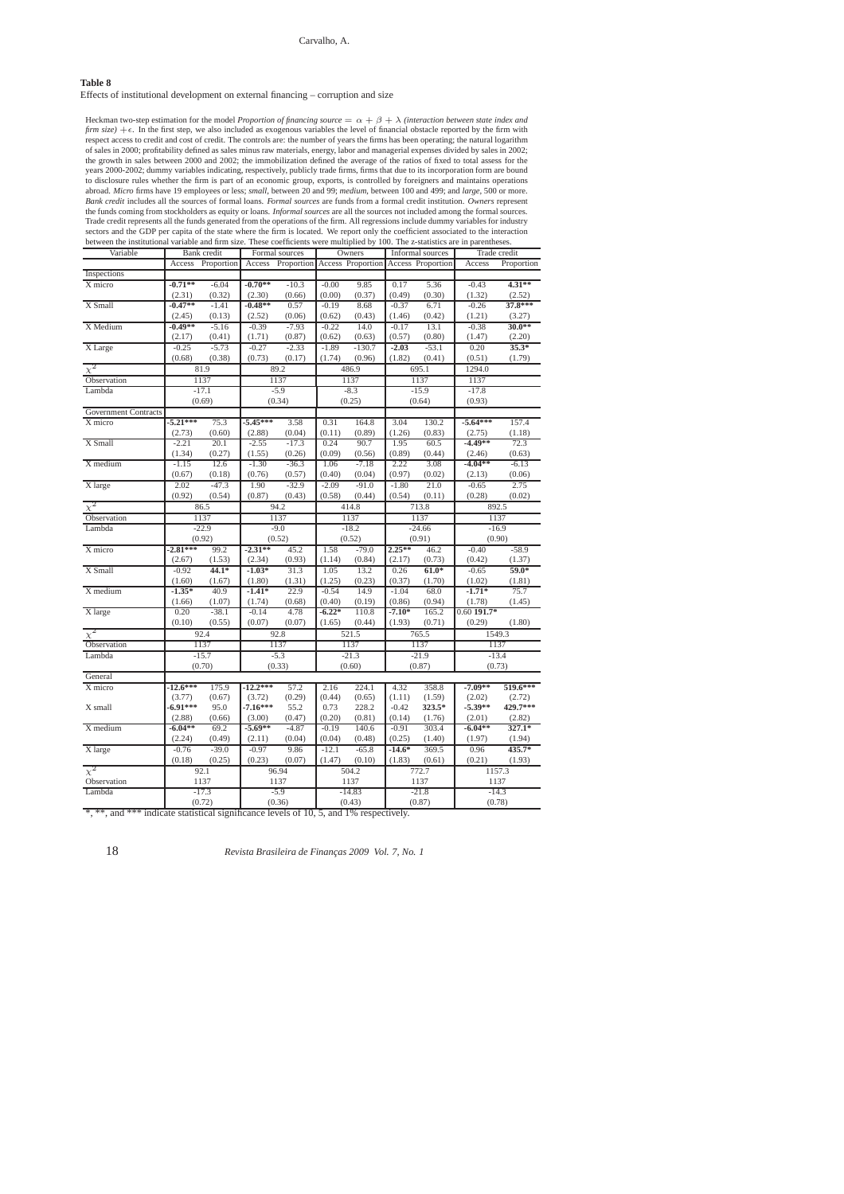# **Table 8**

Effects of institutional development on external financing – corruption and size

| Heckman two-step estimation for the model <i>Proportion of financing source</i> $= \alpha + \beta + \lambda$ <i>(interaction between state index and</i>                                                                                                                |
|-------------------------------------------------------------------------------------------------------------------------------------------------------------------------------------------------------------------------------------------------------------------------|
| firm size) $+\epsilon$ . In the first step, we also included as exogenous variables the level of financial obstacle reported by the firm with                                                                                                                           |
| respect access to credit and cost of credit. The controls are: the number of years the firms has been operating; the natural logarithm                                                                                                                                  |
| of sales in 2000; profitability defined as sales minus raw materials, energy, labor and managerial expenses divided by sales in 2002;                                                                                                                                   |
| the growth in sales between 2000 and 2002; the immobilization defined the average of the ratios of fixed to total assess for the<br>years 2000-2002; dummy variables indicating, respectively, publicly trade firms, firms that due to its incorporation form are bound |
| to disclosure rules whether the firm is part of an economic group, exports, is controlled by foreigners and maintains operations                                                                                                                                        |
| abroad. Micro firms have 19 employees or less; small, between 20 and 99; medium, between 100 and 499; and large, 500 or more.                                                                                                                                           |
| Bank credit includes all the sources of formal loans. Formal sources are funds from a formal credit institution. Owners represent                                                                                                                                       |
| the funds coming from stockholders as equity or loans. <i>Informal sources</i> are all the sources not included among the formal sources.                                                                                                                               |
| Trade credit represents all the funds generated from the operations of the firm. All regressions include dummy variables for industry                                                                                                                                   |
| sectors and the GDP per capita of the state where the firm is located. We report only the coefficient associated to the interaction                                                                                                                                     |
| between the institutional variable and firm size. These coefficients were multiplied by 100. The z-statistics are in parentheses.                                                                                                                                       |

| Variable                                                                               |            | Bank credit       |            | Formal sources                      |          | Owners   |          | Informal sources  |               | Trade credit   |
|----------------------------------------------------------------------------------------|------------|-------------------|------------|-------------------------------------|----------|----------|----------|-------------------|---------------|----------------|
|                                                                                        |            | Access Proportion |            | Access Proportion Access Proportion |          |          |          | Access Proportion | Access        | Proportion     |
| Inspections                                                                            |            |                   |            |                                     |          |          |          |                   |               |                |
| X micro                                                                                | $-0.71**$  | $-6.04$           | $-0.70**$  | $-10.3$                             | $-0.00$  | 9.85     | 0.17     | 5.36              | $-0.43$       | 4.31**         |
|                                                                                        | (2.31)     | (0.32)            | (2.30)     | (0.66)                              | (0.00)   | (0.37)   | (0.49)   | (0.30)            | (1.32)        | (2.52)         |
| X Small                                                                                | $-0.47**$  | $-1.41$           | $-0.48**$  | 0.57                                | $-0.19$  | 8.68     | $-0.37$  | 6.71              | $-0.26$       | 37.8***        |
|                                                                                        | (2.45)     | (0.13)            | (2.52)     | (0.06)                              | (0.62)   | (0.43)   | (1.46)   | (0.42)            | (1.21)        | (3.27)         |
| X Medium                                                                               | $-0.49**$  | $-5.16$           | $-0.39$    | $-7.93$                             | $-0.22$  | 14.0     | $-0.17$  | 13.1              | $-0.38$       | $30.0**$       |
|                                                                                        | (2.17)     | (0.41)            | (1.71)     | (0.87)                              | (0.62)   | (0.63)   | (0.57)   | (0.80)            | (1.47)        | (2.20)         |
| X Large                                                                                | $-0.25$    | $-5.73$           | $-0.27$    | $-2.33$                             | $-1.89$  | $-130.7$ | $-2.03$  | $-53.1$           | 0.20          | $35.3*$        |
|                                                                                        | (0.68)     | (0.38)            | (0.73)     | (0.17)                              | (1.74)   | (0.96)   | (1.82)   | (0.41)            | (0.51)        | (1.79)         |
| $\overline{\chi^2}$                                                                    |            | 81.9              |            | 89.2                                |          | 486.9    |          | 695.1             | 1294.0        |                |
| Observation                                                                            |            | 1137              |            | 1137                                |          | 1137     |          | 1137              | 1137          |                |
| Lambda                                                                                 |            | $-17.1$           |            | $-5.9$                              |          | $-8.3$   |          | $-15.9$           | $-17.8$       |                |
|                                                                                        |            | (0.69)            |            | (0.34)                              |          | (0.25)   |          | (0.64)            | (0.93)        |                |
| <b>Government Contracts</b>                                                            |            |                   |            |                                     |          |          |          |                   |               |                |
| X micro                                                                                | $-5.21***$ | 75.3              | $-5.45***$ | 3.58                                | 0.31     | 164.8    | 3.04     | 130.2             | $-5.64***$    | 157.4          |
|                                                                                        | (2.73)     | (0.60)            | (2.88)     | (0.04)                              | (0.11)   | (0.89)   | (1.26)   | (0.83)            | (2.75)        |                |
| X Small                                                                                |            | 20.1              | $-2.55$    | $-17.3$                             |          | 90.7     |          |                   | $-4.49**$     | (1.18)<br>72.3 |
|                                                                                        | $-2.21$    |                   |            |                                     | 0.24     |          | 1.95     | 60.5              |               |                |
|                                                                                        | (1.34)     | (0.27)            | (1.55)     | (0.26)                              | (0.09)   | (0.56)   | (0.89)   | (0.44)            | (2.46)        | (0.63)         |
| X medium                                                                               | $-1.15$    | 12.6              | $-1.30$    | $-36.3$                             | 1.06     | $-7.18$  | 2.22     | 3.08              | $-4.04**$     | $-6.13$        |
|                                                                                        | (0.67)     | (0.18)            | (0.76)     | (0.57)                              | (0.40)   | (0.04)   | (0.97)   | (0.02)            | (2.13)        | (0.06)         |
| X large                                                                                | 2.02       | $-47.3$           | 1.90       | $-32.9$                             | $-2.09$  | $-91.0$  | $-1.80$  | 21.0              | $-0.65$       | 2.75           |
|                                                                                        | (0.92)     | (0.54)            | (0.87)     | (0.43)                              | (0.58)   | (0.44)   | (0.54)   | (0.11)            | (0.28)        | (0.02)         |
| $\chi^2$                                                                               |            | 86.5              |            | 94.2                                |          | 414.8    |          | 713.8             |               | 892.5          |
| Observation                                                                            |            | 1137              |            | 1137                                |          | 1137     |          | 1137              |               | 1137           |
| Lambda                                                                                 |            | $-22.9$           |            | $-9.0$                              |          | $-18.2$  |          | $-24.66$          |               | $-16.9$        |
|                                                                                        |            | (0.92)            |            | (0.52)                              |          | (0.52)   |          | (0.91)            |               | (0.90)         |
| X micro                                                                                | $-2.81***$ | 99.2              | $-2.31**$  | 45.2                                | 1.58     | $-79.0$  | $2.25**$ | 46.2              | $-0.40$       | $-58.9$        |
|                                                                                        | (2.67)     | (1.53)            | (2.34)     | (0.93)                              | (1.14)   | (0.84)   | (2.17)   | (0.73)            | (0.42)        | (1.37)         |
| X Small                                                                                | $-0.92$    | $44.1*$           | $-1.03*$   | 31.3                                | 1.05     | 13.2     | 0.26     | $61.0*$           | $-0.65$       | $59.0*$        |
|                                                                                        | (1.60)     | (1.67)            | (1.80)     | (1.31)                              | (1.25)   | (0.23)   | (0.37)   | (1.70)            | (1.02)        | (1.81)         |
| X medium                                                                               | $-1.35*$   | 40.9              | $-1.41*$   | 22.9                                | $-0.54$  | 14.9     | $-1.04$  | 68.0              | $-1.71*$      | 75.7           |
|                                                                                        | (1.66)     | (1.07)            | (1.74)     | (0.68)                              | (0.40)   | (0.19)   | (0.86)   | (0.94)            | (1.78)        | (1.45)         |
| X large                                                                                | 0.20       | $-38.1$           | $-0.14$    | 4.78                                | $-6.22*$ | 110.8    | $-7.10*$ | 165.2             | $0.60$ 191.7* |                |
|                                                                                        | (0.10)     | (0.55)            | (0.07)     | (0.07)                              | (1.65)   | (0.44)   | (1.93)   | (0.71)            | (0.29)        | (1.80)         |
| $\overline{\chi^2}$                                                                    |            | 92.4              |            | 92.8                                |          | 521.5    |          | 765.5             |               | 1549.3         |
| Observation                                                                            |            | 1137              |            | 1137                                |          | 1137     |          | 1137              |               | 1137           |
| Lambda                                                                                 |            | $-15.7$           |            | $-5.3$                              |          | $-21.3$  |          | $-21.9$           |               | $-13.4$        |
|                                                                                        |            | (0.70)            |            | (0.33)                              |          | (0.60)   |          | (0.87)            |               | (0.73)         |
| General                                                                                |            |                   |            |                                     |          |          |          |                   |               |                |
| X micro                                                                                | $-12.6***$ | 175.9             | $-12.2***$ | 57.2                                | 2.16     | 224.1    | 4.32     | 358.8             | $-7.09**$     | 519.6***       |
|                                                                                        | (3.77)     | (0.67)            | (3.72)     | (0.29)                              | (0.44)   | (0.65)   | (1.11)   | (1.59)            | (2.02)        | (2.72)         |
| X small                                                                                | $-6.91***$ | 95.0              | $-7.16***$ | 55.2                                | 0.73     | 228.2    | $-0.42$  | 323.5*            | $-5.39**$     | 429.7***       |
|                                                                                        | (2.88)     | (0.66)            | (3.00)     | (0.47)                              | (0.20)   | (0.81)   | (0.14)   | (1.76)            | (2.01)        | (2.82)         |
| X medium                                                                               | $-6.04**$  | 69.2              | $-5.69**$  | $-4.87$                             | $-0.19$  | 140.6    | $-0.91$  | 303.4             | $-6.04**$     | $327.1*$       |
|                                                                                        | (2.24)     | (0.49)            | (2.11)     | (0.04)                              | (0.04)   | (0.48)   | (0.25)   | (1.40)            | (1.97)        | (1.94)         |
| X large                                                                                | $-0.76$    | $-39.0$           | $-0.97$    | 9.86                                | $-12.1$  | $-65.8$  | $-14.6*$ | 369.5             | 0.96          | 435.7*         |
|                                                                                        | (0.18)     | (0.25)            | (0.23)     | (0.07)                              | (1.47)   | (0.10)   | (1.83)   | (0.61)            | (0.21)        | (1.93)         |
| $\chi^2$                                                                               |            | 92.1              |            | 96.94                               |          | 504.2    |          | 772.7             |               | 1157.3         |
|                                                                                        |            |                   |            |                                     |          |          |          |                   |               |                |
| Observation                                                                            |            | 1137              |            | 1137                                |          | 1137     |          | 1137              |               | 1137           |
| Lambda                                                                                 |            | $-17.3$           |            | $-5.9$                              |          | $-14.83$ |          | $-21.8$           |               | $-14.3$        |
| *, **, and *** indicate statistical significance levels of 10, 5, and 1% respectively. |            | (0.72)            |            | (0.36)                              |          | (0.43)   |          | (0.87)            |               | (0.78)         |
|                                                                                        |            |                   |            |                                     |          |          |          |                   |               |                |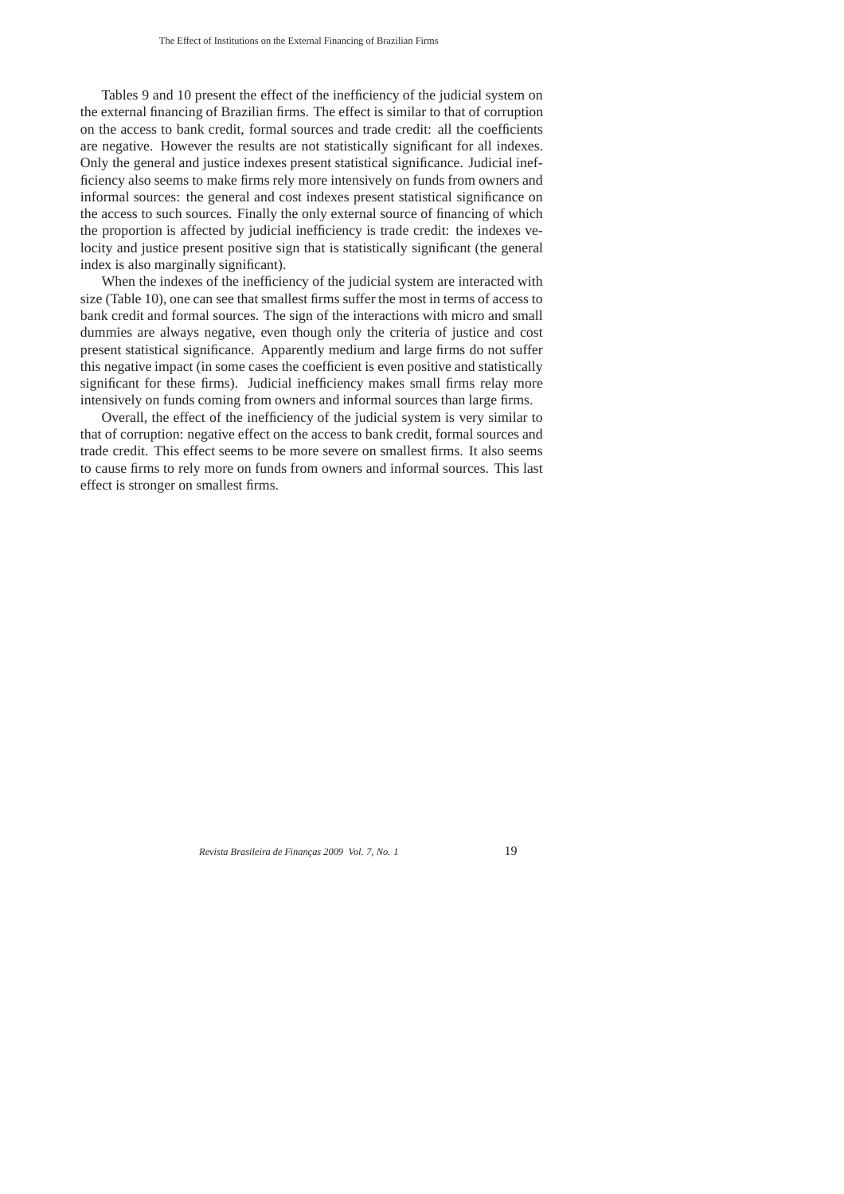Tables 9 and 10 present the effect of the inefficiency of the judicial system on the external financing of Brazilian firms. The effect is similar to that of corruption on the access to bank credit, formal sources and trade credit: all the coefficients are negative. However the results are not statistically significant for all indexes. Only the general and justice indexes present statistical significance. Judicial inefficiency also seems to make firms rely more intensively on funds from owners and informal sources: the general and cost indexes present statistical significance on the access to such sources. Finally the only external source of financing of which the proportion is affected by judicial inefficiency is trade credit: the indexes velocity and justice present positive sign that is statistically significant (the general index is also marginally significant).

When the indexes of the inefficiency of the judicial system are interacted with size (Table 10), one can see that smallest firms suffer the most in terms of access to bank credit and formal sources. The sign of the interactions with micro and small dummies are always negative, even though only the criteria of justice and cost present statistical significance. Apparently medium and large firms do not suffer this negative impact (in some cases the coefficient is even positive and statistically significant for these firms). Judicial inefficiency makes small firms relay more intensively on funds coming from owners and informal sources than large firms.

Overall, the effect of the inefficiency of the judicial system is very similar to that of corruption: negative effect on the access to bank credit, formal sources and trade credit. This effect seems to be more severe on smallest firms. It also seems to cause firms to rely more on funds from owners and informal sources. This last effect is stronger on smallest firms.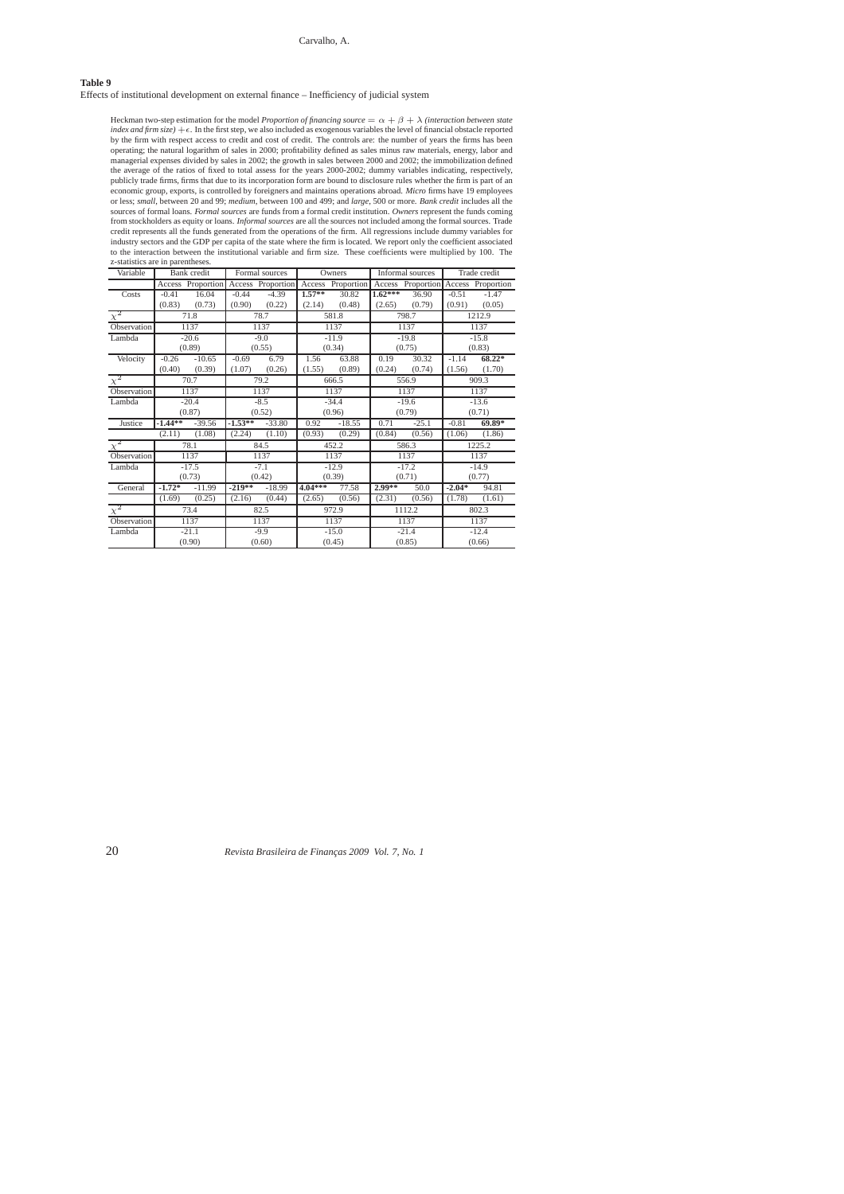## Carvalho, A.

### **Table 9**

Effects of institutional development on external finance – Inefficiency of judicial system

Heckman two-step estimation for the model *Proportion of financing source* =  $\alpha + \beta + \lambda$  *(interaction between state*) index and firm size)  $+\epsilon$ . In the first step, we also included as exogenous variables the level of financial obstacle reported<br>by the firm with respect access to credit and cost of credit. The controls are: the number of publicly trade firms, firms that due to its incorporation form are bound to disclosure rules whether the firm is part of an<br>economic group, exports, is controlled by foreigners and maintains operations abroad. Micro firms or less; small, between 20 and 99; medium, between 100 and 499; and large, 500 or more. Bank credit includes all the<br>sources of formal loans. Formal sources are funds from a formal credit institution. Owners represent the from stockholders as equity or loans. *Informal sources* are all the sources not included among the formal sources. Trade<br>credit represents all the funds generated from the operations of the firm. All regressions include d to the interaction between the institutional variable and firm size. These coefficients were multiplied by 100. The z-statistics are in parentheses.

| Variable    |           | <b>Bank</b> credit |           | Formal sources    |           | Owners            |           | Informal sources  |          | Trade credit      |
|-------------|-----------|--------------------|-----------|-------------------|-----------|-------------------|-----------|-------------------|----------|-------------------|
|             |           | Access Proportion  |           | Access Proportion |           | Access Proportion |           | Access Proportion |          | Access Proportion |
| Costs       | $-0.41$   | 16.04              | $-0.44$   | $-4.39$           | $1.57***$ | 30.82             | $1.62***$ | 36.90             | $-0.51$  | $-1.47$           |
|             | (0.83)    | (0.73)             | (0.90)    | (0.22)            | (2.14)    | (0.48)            | (2.65)    | (0.79)            | (0.91)   | (0.05)            |
| $\chi^2$    |           | 71.8               |           | 78.7              |           | 581.8             |           | 798.7             |          | 1212.9            |
| Observation |           | 1137               |           | 1137              |           | 1137              |           | 1137              |          | 1137              |
| Lambda      |           | $-20.6$            |           | $-9.0$            |           | $-11.9$           |           | $-19.8$           |          | $-15.8$           |
|             |           | (0.89)             |           | (0.55)            |           | (0.34)            |           | (0.75)            |          | (0.83)            |
| Velocity    | $-0.26$   | $-10.65$           | $-0.69$   | 6.79              | 1.56      | 63.88             | 0.19      | 30.32             | $-1.14$  | $68.22*$          |
|             | (0.40)    | (0.39)             | (1.07)    | (0.26)            | (1.55)    | (0.89)            | (0.24)    | (0.74)            | (1.56)   | (1.70)            |
| $\chi^2$    |           | 70.7               |           | 79.2              |           | 666.5             |           | 556.9             |          | 909.3             |
| Observation |           | 1137               |           | 1137              |           | 1137              |           | 1137              |          | 1137              |
| Lambda      |           | $-20.4$            |           | $-8.5$            |           | $-34.4$           |           | $-19.6$           |          | $-13.6$           |
|             |           | (0.87)             |           | (0.52)            |           | (0.96)            |           | (0.79)            |          | (0.71)            |
| Justice     | $-1.44**$ | $-39.56$           | $-1.53**$ | $-33.80$          | 0.92      | $-18.55$          | 0.71      | $-25.1$           | $-0.81$  | 69.89*            |
|             | (2.11)    | (1.08)             | (2.24)    | (1.10)            | (0.93)    | (0.29)            | (0.84)    | (0.56)            | (1.06)   | (1.86)            |
| $\chi^2$    |           | 78.1               |           | 84.5              |           | 452.2             |           | 586.3             |          | 1225.2            |
| Observation |           | 1137               |           | 1137              |           | 1137              |           | 1137              |          | 1137              |
| Lambda      |           | $-17.5$            |           | $-7.1$            |           | $-12.9$           |           | $-17.2$           |          | $-14.9$           |
|             |           | (0.73)             |           | (0.42)            |           | (0.39)            |           | (0.71)            |          | (0.77)            |
| General     | $-1.72*$  | $-11.99$           | $-219**$  | $-18.99$          | 4.04***   | 77.58             | $2.99**$  | 50.0              | $-2.04*$ | 94.81             |
|             | (1.69)    | (0.25)             | (2.16)    | (0.44)            | (2.65)    | (0.56)            | (2.31)    | (0.56)            | (1.78)   | (1.61)            |
| $\chi^2$    |           | 73.4               |           | 82.5              |           | 972.9             |           | 1112.2            |          | 802.3             |
| Observation |           | 1137               |           | 1137              |           | 1137              |           | 1137              |          | 1137              |
| Lambda      |           | $-21.1$            |           | $-9.9$            |           | $-15.0$           |           | $-21.4$           |          | $-12.4$           |
|             |           | (0.90)             |           | (0.60)            |           | (0.45)            |           | (0.85)            |          | (0.66)            |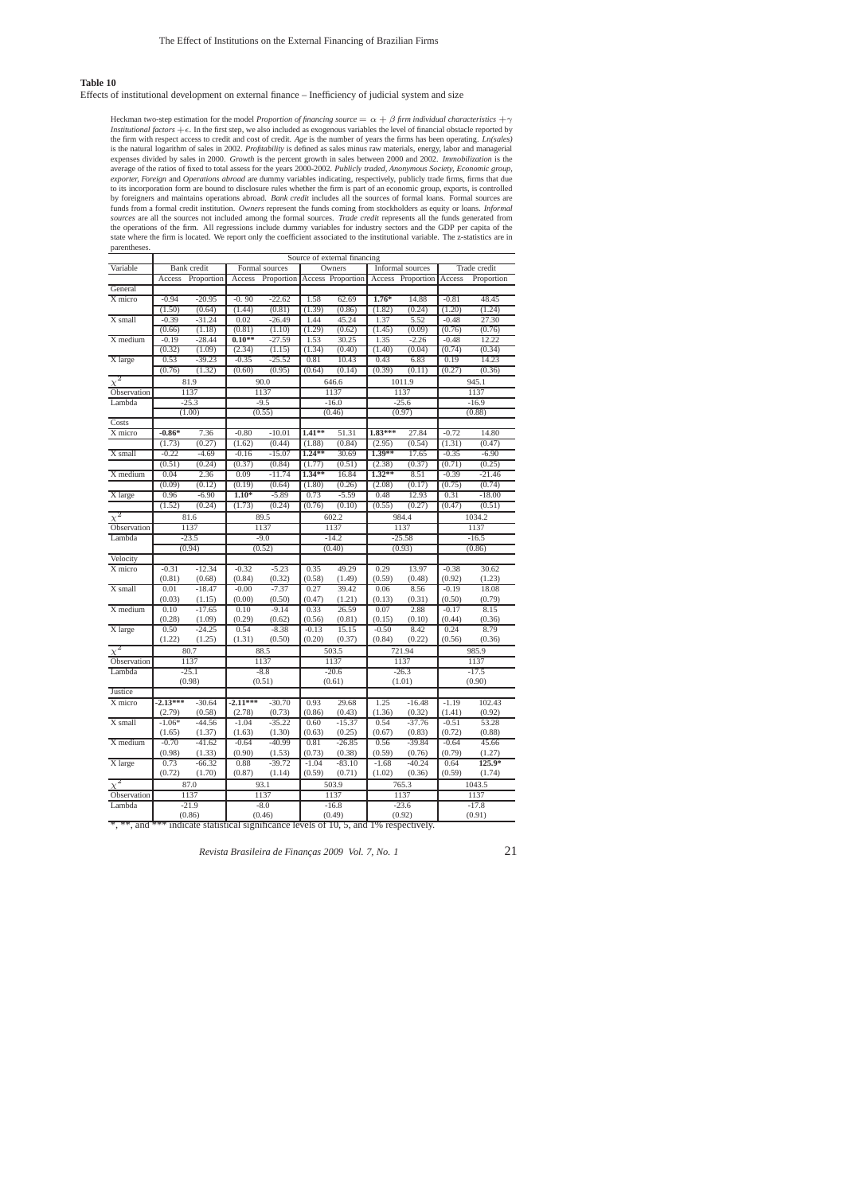### **Table 10**

Effects of institutional development on external finance – Inefficiency of judicial system and size

Heckman two-step estimation for the model *Proportion of financing source*  $=\alpha + \beta$  *firm individual characteristics*  $+\gamma$ <br>*Institutional factors*  $+ \epsilon$ . In the first step, we also included as exogenous variables the level is the natural logarithm of sales in 2002. *Profitability* is defined as sales minus raw materials, energy, labor and managerial expresses divided by sales 12 2000. *Growth* is the percent growth in sales between 2000 and sources are all the sources not included among the formal sources. Trade credit represents all the funds generated from<br>the operations of the firm. All regressions include dummy variables for industry sectors and the GDP p state where the firm is located. We report only the coefficient associated to the institutional variable. The z-statistics are in parentheses.

|                                                                                        | Source of external financing |                    |            |                    |                   |                              |          |                    |         |                    |  |
|----------------------------------------------------------------------------------------|------------------------------|--------------------|------------|--------------------|-------------------|------------------------------|----------|--------------------|---------|--------------------|--|
| Variable                                                                               |                              | Bank credit        |            | Formal sources     |                   | Owners                       |          | Informal sources   |         | Trade credit       |  |
|                                                                                        | Access                       | Proportion         | Access     |                    |                   | Proportion Access Proportion | Access   | Proportion         | Access  | Proportion         |  |
| General                                                                                |                              |                    |            |                    |                   |                              |          |                    |         |                    |  |
| X micro                                                                                | $-0.94$                      | $-20.95$           | $-0.90$    | $-22.62$           | 1.58              | 62.69                        | $1.76*$  | 14.88              | $-0.81$ | 48.45              |  |
|                                                                                        | (1.50)                       | (0.64)             | (1.44)     | (0.81)             | (1.39)            | (0.86)                       | (1.82)   | (0.24)             | (1.20)  | (1.24)             |  |
| X small                                                                                | $-0.39$                      | $-31.24$           | 0.02       | $-26.49$           | 1.44              | 45.24                        | 1.37     | 5.52               | $-0.48$ | 27.30              |  |
|                                                                                        | (0.66)                       | (1.18)             | (0.81)     | (1.10)             | (1.29)            | (0.62)                       | (1.45)   | (0.09)             | (0.76)  | (0.76)             |  |
| X medium                                                                               | $-0.19$                      | $-28.44$           | $0.10**$   | $-27.59$           | 1.53              | 30.25                        | 1.35     | $-2.26$            | $-0.48$ | 12.22              |  |
|                                                                                        | (0.32)                       | (1.09)             | (2.34)     | (1.15)             | (1.34)            | (0.40)                       | (1.40)   | (0.04)             | (0.74)  | (0.34)             |  |
| X large                                                                                | 0.53                         | $-39.23$           | $-0.35$    | $-25.52$           | 0.81              | 10.43                        | 0.43     | 6.83               | 0.19    | 14.23              |  |
|                                                                                        | (0.76)                       | (1.32)             | (0.60)     | (0.95)             | (0.64)            | (0.14)                       | (0.39)   | (0.11)             | (0.27)  | (0.36)             |  |
| $\overline{\chi^2}$                                                                    |                              | 81.9               |            | 90.0               |                   | 646.6                        |          | 1011.9             |         | 945.1              |  |
| Observation                                                                            |                              | 1137               |            | 1137               |                   | 1137                         |          | 1137               |         | 1137               |  |
| Lambda                                                                                 |                              | $-25.3$            |            | $-9.5$             |                   | $-16.0$                      |          | $-25.6$            |         | $-16.9$            |  |
|                                                                                        |                              | (1.00)             |            | (0.55)             |                   | (0.46)                       |          | (0.97)             |         | (0.88)             |  |
| Costs                                                                                  |                              |                    |            |                    |                   |                              |          |                    |         |                    |  |
| X micro                                                                                | $-0.86*$                     | 7.36               | $-0.80$    | $-10.01$           | $1.41**$          | 51.31                        | 1.83***  | 27.84              | $-0.72$ | 14.80              |  |
|                                                                                        | (1.73)                       | (0.27)             | (1.62)     | (0.44)             | (1.88)            | (0.84)                       | (2.95)   | (0.54)             | (1.31)  | (0.47)             |  |
| X small                                                                                | $-0.22$                      | $-4.69$            | $-0.16$    | $-15.07$           | $1.24**$          | 30.69                        | $1.39**$ | 17.65              | $-0.35$ | $-6.90$            |  |
|                                                                                        | (0.51)                       | (0.24)             | (0.37)     | (0.84)             | (1.77)            | (0.51)                       | (2.38)   | (0.37)             | (0.71)  | (0.25)             |  |
| X medium                                                                               | 0.04                         | 2.36               | 0.09       | $-11.74$           | 1.34**            | 16.84                        | $1.32**$ | 8.51               | $-0.39$ | $-21.46$           |  |
|                                                                                        | (0.09)                       | (0.12)             | (0.19)     | (0.64)             | (1.80)            | (0.26)                       | (2.08)   | (0.17)             | (0.75)  | (0.74)             |  |
| X large                                                                                | 0.96                         | $-6.90$            | $1.10*$    | $-5.89$            | 0.73              | $-5.59$                      | 0.48     | 12.93              | 0.31    | $-18.00$           |  |
|                                                                                        | (1.52)                       | (0.24)             | (1.73)     | (0.24)             | (0.76)            | (0.10)                       | (0.55)   | (0.27)             | (0.47)  | (0.51)             |  |
| $\overline{\chi^2}$                                                                    |                              | 81.6               |            | 89.5               |                   | 602.2                        |          | 984.4              |         | 1034.2             |  |
| Observation                                                                            |                              | 1137               |            | 1137               |                   | 1137                         |          | 1137               |         | 1137               |  |
| Lambda                                                                                 |                              | $-23.5$            |            | $-9.0$             |                   | $-14.2$                      |          | $-25.58$           |         | $-16.5$            |  |
|                                                                                        |                              | (0.94)             |            | (0.52)             |                   | (0.40)                       |          | (0.93)             |         | (0.86)             |  |
| Velocity                                                                               |                              |                    |            |                    |                   |                              |          |                    |         |                    |  |
| X micro                                                                                | $-0.31$                      | $-12.34$           | $-0.32$    | $-5.23$            | 0.35              | 49.29                        | 0.29     | 13.97              | $-0.38$ | 30.62              |  |
|                                                                                        | (0.81)                       | (0.68)             | (0.84)     | (0.32)             | (0.58)            | (1.49)                       | (0.59)   | (0.48)             | (0.92)  | (1.23)             |  |
| X small                                                                                | 0.01                         | $-18.47$           | $-0.00$    | $-7.37$            | 0.27              | 39.42                        | 0.06     | 8.56               | $-0.19$ | 18.08              |  |
|                                                                                        | (0.03)                       | (1.15)             | (0.00)     | (0.50)             | (0.47)            | (1.21)                       | (0.13)   | (0.31)             | (0.50)  | (0.79)             |  |
| $X$ medium                                                                             | 0.10                         | $-17.65$           | 0.10       | $-9.14$            | 0.33              | 26.59                        | 0.07     | 2.88               | $-0.17$ | 8.15               |  |
|                                                                                        | (0.28)                       | (1.09)             | (0.29)     | (0.62)             | (0.56)            | (0.81)                       | (0.15)   | (0.10)             | (0.44)  | (0.36)             |  |
| X large                                                                                | 0.50                         | $-24.25$           | 0.54       | $-8.38$            | $-0.13$           | 15.15                        | $-0.50$  | 8.42               | 0.24    | 8.79               |  |
|                                                                                        | (1.22)                       | (1.25)             | (1.31)     | (0.50)             | (0.20)            | (0.37)                       | (0.84)   | (0.22)             | (0.56)  | (0.36)             |  |
| $\overline{\chi^2}$                                                                    |                              | 80.7               |            | 88.5               |                   | 503.5                        |          | 721.94             |         | 985.9              |  |
|                                                                                        |                              | 1137               |            | 1137               |                   | 1137                         |          | 1137               |         | 1137               |  |
| Observation<br>Lambda                                                                  |                              | $-25.1$            |            | $-8.8$             |                   | $-20.6$                      |          | $-26.3$            |         | $-17.5$            |  |
|                                                                                        |                              | (0.98)             |            | (0.51)             |                   | (0.61)                       |          | (1.01)             |         | (0.90)             |  |
| Justice                                                                                |                              |                    |            |                    |                   |                              |          |                    |         |                    |  |
| X micro                                                                                | $-2.13***$                   | $-30.64$           | $-2.11***$ | $-30.70$           | 0.93              | 29.68                        | 1.25     | $-16.48$           | $-1.19$ | 102.43             |  |
|                                                                                        | (2.79)                       | (0.58)             | (2.78)     |                    | (0.86)            | (0.43)                       | (1.36)   | (0.32)             | (1.41)  | (0.92)             |  |
| X small                                                                                | $-1.06*$                     | $-44.56$           | $-1.04$    | (0.73)<br>$-35.22$ | 0.60              | $-15.37$                     | 0.54     | $-37.76$           | $-0.51$ | 53.28              |  |
|                                                                                        | (1.65)                       | (1.37)             | (1.63)     | (1.30)             | (0.63)            | (0.25)                       | (0.67)   | (0.83)             | (0.72)  | (0.88)             |  |
| X medium                                                                               | $-0.70$                      | $-41.62$           | $-0.64$    | $-40.99$           | 0.81              | $-26.85$                     | 0.56     | $-39.84$           | $-0.64$ | 45.66              |  |
|                                                                                        | (0.98)                       |                    | (0.90)     |                    |                   |                              | (0.59)   |                    | (0.79)  |                    |  |
| X large                                                                                | 0.73                         | (1.33)             | 0.88       | (1.53)<br>$-39.72$ | (0.73)<br>$-1.04$ | (0.38)<br>$-83.10$           | $-1.68$  | (0.76)<br>$-40.24$ | 0.64    | (1.27)<br>$125.9*$ |  |
|                                                                                        | (0.72)                       | $-66.32$<br>(1.70) | (0.87)     | (1.14)             | (0.59)            | (0.71)                       | (1.02)   | (0.36)             | (0.59)  | (1.74)             |  |
|                                                                                        |                              |                    |            |                    |                   |                              |          |                    |         |                    |  |
| $\overline{x^2}$                                                                       |                              | 87.0               |            | 93.1               |                   | 503.9                        |          | 765.3              |         | 1043.5             |  |
| Observation                                                                            |                              | 1137               |            | 1137               |                   | 1137                         |          | 1137               |         | 1137               |  |
| Lambda                                                                                 |                              | $-21.9$            |            | $-8.0$             |                   | $-16.8$                      |          | $-23.6$            |         | $-17.8$            |  |
|                                                                                        |                              | (0.86)             |            | (0.46)             |                   | (0.49)                       |          | (0.92)             |         | (0.91)             |  |
| *, **, and *** indicate statistical significance levels of 10, 5, and 1% respectively. |                              |                    |            |                    |                   |                              |          |                    |         |                    |  |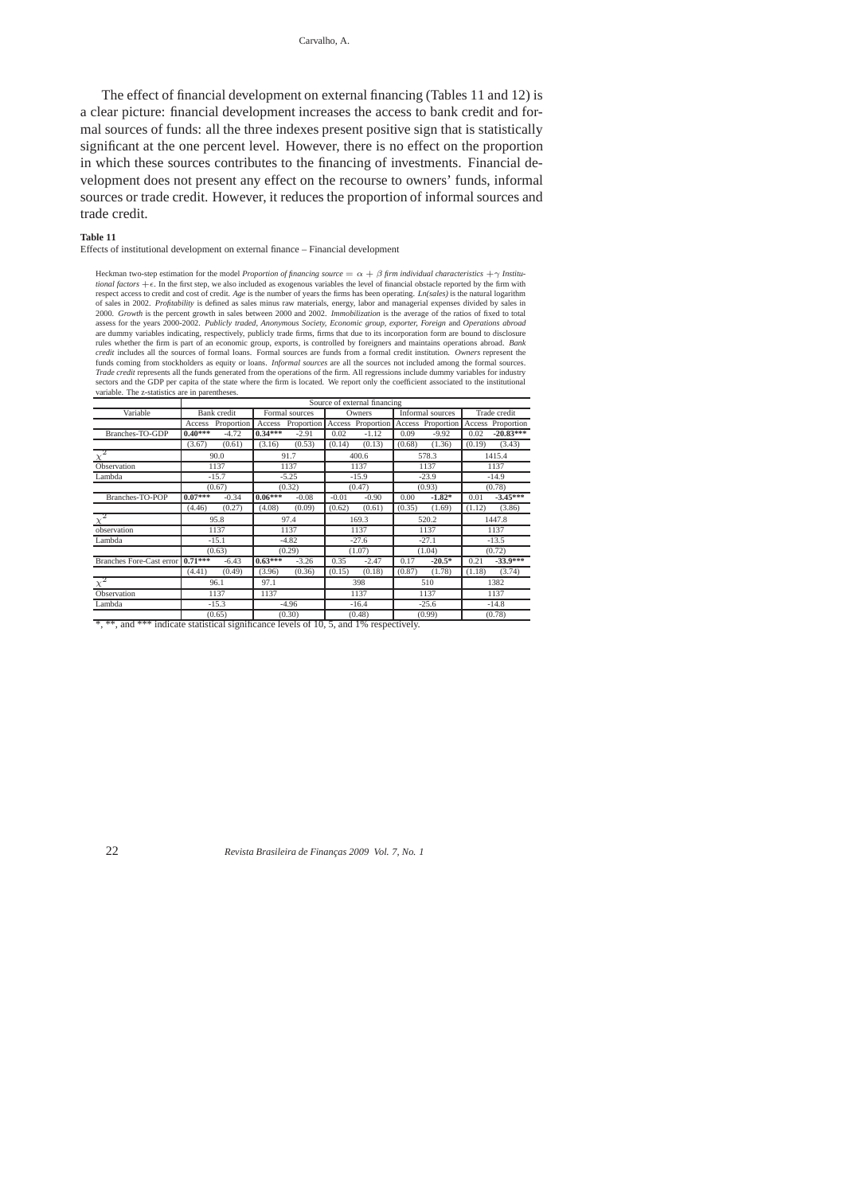The effect of financial development on external financing (Tables 11 and 12) is a clear picture: financial development increases the access to bank credit and formal sources of funds: all the three indexes present positive sign that is statistically significant at the one percent level. However, there is no effect on the proportion in which these sources contributes to the financing of investments. Financial development does not present any effect on the recourse to owners' funds, informal sources or trade credit. However, it reduces the proportion of informal sources and trade credit.

#### **Table 11**

Effects of institutional development on external finance – Financial development

Heckman two-step estimation for the model *Proportion of financing source* =  $\alpha + \beta$  *firm individual characteristics* + $\gamma$  *Institu tional factors*  $+\epsilon$ . In the first step, we also included as exogenous variables the level of financial obstacle reported by the firm with visition of the firm with respect access to credit and cost of credit Age is the 2000. Growth is the percent growth in sales between 2000 and 2002. Immobilization is the average of the ratios of fixed to total<br>assess for the years 2000-2002. Publicly traded, Anonymous Society, Economic group, exporter, are dummy variables indicating, respectively, publicly trade firms, firms that due to its incorporation form are bound to disclosure<br>rules whether the firm is part of an economic group, exports, is controlled by foreigners Trade credit represents all the funds generated from the operations of the firm. All regressions include dummy variables for industry<br>sectors and the GDP per capita of the state where the firm is located. We report only th variable. The z-statistics are in parentheses.

|                                 | Source of external financing |            |                |                                     |                              |         |                  |                   |              |                   |
|---------------------------------|------------------------------|------------|----------------|-------------------------------------|------------------------------|---------|------------------|-------------------|--------------|-------------------|
| Variable                        | Bank credit                  |            | Formal sources |                                     | Owners                       |         | Informal sources |                   | Trade credit |                   |
|                                 | Access                       | Proportion |                | Access Proportion Access Proportion |                              |         |                  | Access Proportion |              | Access Proportion |
| Branches-TO-GDP                 | $0.40***$                    | $-4.72$    | $0.34***$      | $-2.91$                             | 0.02                         | $-1.12$ | 0.09             | $-9.92$           | 0.02         | $-20.83***$       |
|                                 | (3.67)                       | (0.61)     | (3.16)         | (0.53)                              | (0.14)                       | (0.13)  | (0.68)           | (1.36)            | (0.19)       | (3.43)            |
|                                 | 90.0                         |            | 91.7           |                                     | 400.6                        |         | 578.3            |                   | 1415.4       |                   |
| Observation                     | 1137                         |            | 1137           |                                     | 1137                         |         | 1137             |                   | 1137         |                   |
| Lambda                          | $-15.7$                      |            | $-5.25$        |                                     | $-15.9$                      |         | $-23.9$          |                   | $-14.9$      |                   |
|                                 |                              | (0.67)     | (0.32)         |                                     | (0.47)                       |         | (0.93)           |                   | (0.78)       |                   |
| Branches-TO-POP                 | $0.07***$                    | $-0.34$    | $0.06***$      | $-0.08$                             | $-0.01$                      | $-0.90$ | 0.00             | $-1.82*$          | 0.01         | $-3.45***$        |
|                                 | (4.46)                       | (0.27)     | (4.08)         | (0.09)                              | (0.62)                       | (0.61)  | (0.35)           | (1.69)            | (1.12)       | (3.86)            |
| $\chi^2$                        | 95.8                         |            | 97.4           |                                     | 169.3                        |         | 520.2            |                   | 1447.8       |                   |
| observation                     | 1137                         |            | 1137           |                                     | 1137                         |         | 1137             |                   | 1137         |                   |
| Lambda                          | $-15.1$                      |            | $-4.82$        |                                     | $-27.6$                      |         | $-27.1$          |                   | $-13.5$      |                   |
|                                 |                              | (0.63)     |                | (0.29)                              |                              | (1.07)  |                  | (1.04)            | (0.72)       |                   |
| <b>Branches Fore-Cast error</b> | $0.71***$                    | $-6.43$    | $0.63***$      | $-3.26$                             | 0.35                         | $-2.47$ | 0.17             | $-20.5*$          | 0.21         | $-33.9***$        |
|                                 | (4.41)                       | (0.49)     | (3.96)         | (0.36)                              | (0.15)                       | (0.18)  | (0.87)           | (1.78)            | (1.18)       | (3.74)            |
| $\chi^2$                        | 96.1                         |            | 97.1           |                                     | 398                          |         | 510              |                   | 1382         |                   |
| Observation                     | 1137                         |            | 1137           |                                     | 1137                         |         | 1137             |                   | 1137         |                   |
| Lambda                          | $-15.3$<br>(0.65)            |            | $-4.96$        |                                     | $-16.4$                      |         | $-25.6$          |                   | $-14.8$      |                   |
|                                 |                              |            | (0.30)         |                                     | (0.48)<br>$-2.410/$ $-2.221$ |         | (0.99)           |                   | (0.78)       |                   |

\*, \*\*, and \*\*\* indicate statistical significance levels of 10, 5, and 1% respectively.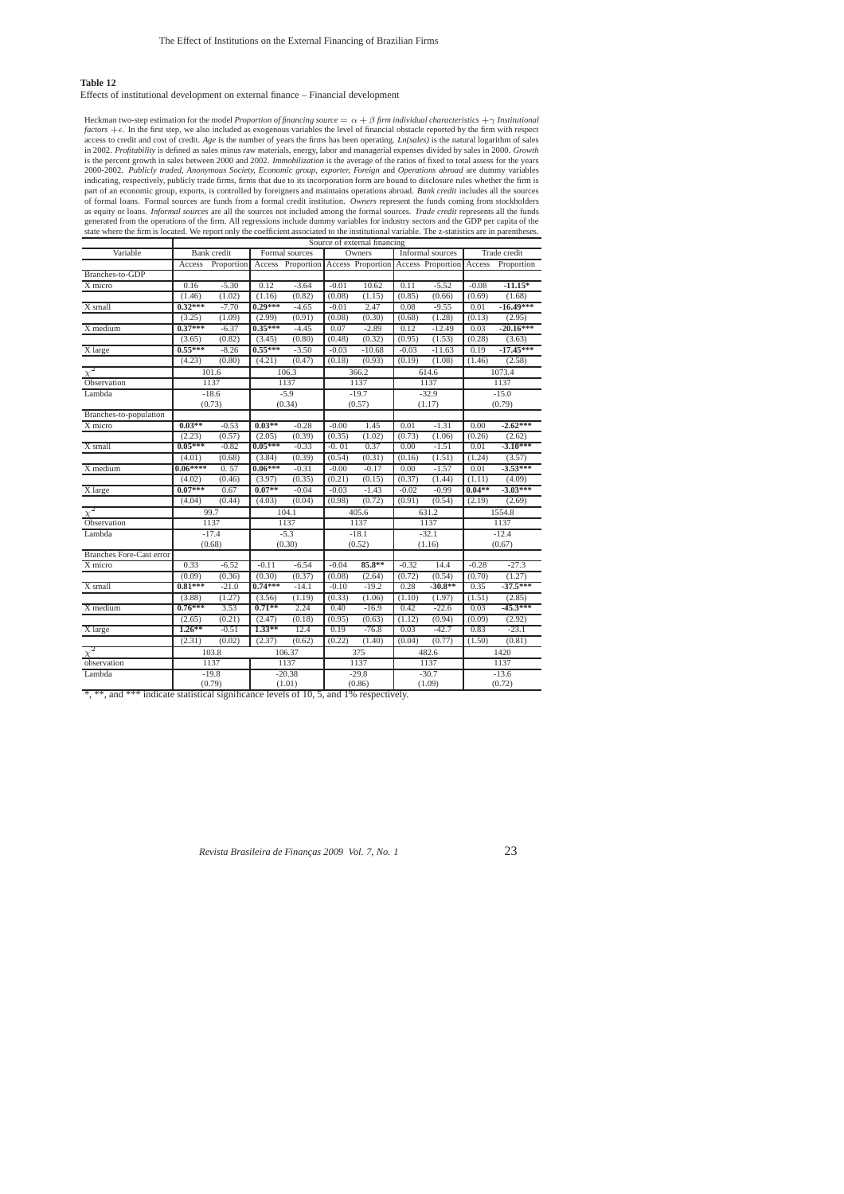## **Table 12**

### Effects of institutional development on external finance – Financial development

Heckman two-step estimation for the model *Proportion of financing source* =  $\alpha + \beta$  *firm individual characteristics* + γ *Institutional factors*  $+\epsilon$ . In the first step, we also included as exogenous variables the level of financial obstacle reported by the firm with respect<br>access to credit and cost of credit. Age is the number of years the firms has be indicating, respectively, publicly trade firms, firms that due to its incorporation form are bound to disclosure rules whether the firm is<br>part of an economic group, exports, is controlled by foreigners and maintains opera of formal loans. Formal sources are funds from a formal credit institution. Owners represent the funds coming from stockholders<br>as equity or loans. Informal sources are all the sources not included among the formal sources generated from the operations of the firm. All regressions include dummy variables for industry sectors and the GDP per capita of the<br>state where the firm is located. We report only the coefficient associated to the instit

| Variable                        | Bank credit |            | Formal sources |                                     | Owners  |          | Informal sources |                                 | Trade credit |             |
|---------------------------------|-------------|------------|----------------|-------------------------------------|---------|----------|------------------|---------------------------------|--------------|-------------|
|                                 | Access      | Proportion |                | Access Proportion Access Proportion |         |          |                  | <b>Access Proportion Access</b> |              | Proportion  |
| Branches-to-GDP                 |             |            |                |                                     |         |          |                  |                                 |              |             |
| X micro                         | 0.16        | $-5.30$    | 0.12           | $-3.64$                             | $-0.01$ | 10.62    | 0.11             | $-5.52$                         | $-0.08$      | $-11.15*$   |
|                                 | (1.46)      | (1.02)     | (1.16)         | (0.82)                              | (0.08)  | (1.15)   | (0.85)           | (0.66)                          | (0.69)       | (1.68)      |
| X small                         | $0.32***$   | $-7.70$    | $0.29***$      | $-4.65$                             | $-0.01$ | 2.47     | 0.08             | $-9.55$                         | 0.01         | $-16.49***$ |
|                                 | (3.25)      | (1.09)     | (2.99)         | (0.91)                              | (0.08)  | (0.30)   | (0.68)           | (1.28)                          | (0.13)       | (2.95)      |
| X medium                        | $0.37***$   | $-6.37$    | $0.35***$      | $-4.45$                             | 0.07    | $-2.89$  | 0.12             | $-12.49$                        | 0.03         | $-20.16***$ |
|                                 | (3.65)      | (0.82)     | (3.45)         | (0.80)                              | (0.48)  | (0.32)   | (0.95)           | (1.53)                          | (0.28)       | (3.63)      |
| X large                         | $0.55***$   | $-8.26$    | $0.55***$      | $-3.50$                             | $-0.03$ | $-10.68$ | $-0.03$          | $-11.63$                        | 0.19         | $-17.45***$ |
|                                 | (4.23)      | (0.80)     | (4.21)         | (0.47)                              | (0.18)  | (0.93)   | (0.19)           | (1.08)                          | (1.46)       | (2.58)      |
| $\chi^2$                        |             | 101.6      |                | 106.3                               |         | 366.2    |                  | 614.6                           | 1073.4       |             |
| Observation                     | 1137        |            | 1137           |                                     | 1137    |          | 1137             |                                 | 1137         |             |
| Lambda                          | $-18.6$     |            | $-5.9$         |                                     | $-19.7$ |          | $-32.9$          |                                 | $-15.0$      |             |
|                                 | (0.73)      |            | (0.34)         |                                     | (0.57)  |          | (1.17)           |                                 | (0.79)       |             |
| Branches-to-population          |             |            |                |                                     |         |          |                  |                                 |              |             |
| $\overline{X}$ micro            | $0.03***$   | $-0.53$    | $0.03***$      | $-0.28$                             | $-0.00$ | 1.45     | 0.01             | $-1.31$                         | 0.00         | $-2.62***$  |
|                                 | (2.23)      | (0.57)     | (2.05)         | (0.39)                              | (0.35)  | (1.02)   | (0.73)           | (1.06)                          | (0.26)       | (2.62)      |
| X small                         | $0.05***$   | $-0.82$    | $0.05***$      | $-0.33$                             | $-0.01$ | 0.37     | 0.00             | $-1.51$                         | 0.01         | $-3.10***$  |
|                                 | (4.01)      | (0.68)     | (3.84)         | (0.39)                              | (0.54)  | (0.31)   | (0.16)           | (1.51)                          | (1.24)       | (3.57)      |
| X medium                        | $0.06***$   | 0.57       | $0.06***$      | $-0.31$                             | $-0.00$ | $-0.17$  | 0.00             | $-1.57$                         | 0.01         | $-3.53***$  |
|                                 | (4.02)      | (0.46)     | (3.97)         | (0.35)                              | (0.21)  | (0.15)   | (0.37)           | (1.44)                          | (1.11)       | (4.09)      |
| X large                         | $0.07***$   | 0.67       | $0.07**$       | $-0.04$                             | $-0.03$ | $-1.43$  | $-0.02$          | $-0.99$                         | $0.04**$     | $-3.03***$  |
|                                 | (4.04)      | (0.44)     | (4.03)         | (0.04)                              | (0.98)  | (0.72)   | (0.91)           | (0.54)                          | (2.19)       | (2.69)      |
| $\chi^2$                        | 99.7        |            | 104.1          |                                     | 405.6   |          | 631.2            |                                 | 1554.8       |             |
| Observation                     | 1137        |            | 1137           |                                     | 1137    |          | 1137             |                                 | 1137         |             |
| Lambda                          | $-17.4$     |            | $-5.3$         |                                     | $-18.1$ |          | $-32.1$          |                                 | $-12.4$      |             |
|                                 |             | (0.68)     |                | (0.30)                              |         | (0.52)   |                  | (1.16)                          |              | (0.67)      |
| <b>Branches Fore-Cast error</b> |             |            |                |                                     |         |          |                  |                                 |              |             |
| X micro                         | 0.33        | $-6.52$    | $-0.11$        | $-6.54$                             | $-0.04$ | 85.8**   | $-0.32$          | 14.4                            | $-0.28$      | $-27.3$     |
|                                 | (0.09)      | (0.36)     | (0.30)         | (0.37)                              | (0.08)  | (2.64)   | (0.72)           | (0.54)                          | (0.70)       | (1.27)      |
| X small                         | $0.81***$   | $-21.0$    | $0.74***$      | $-14.1$                             | $-0.10$ | $-19.2$  | 0.28             | $-30.8**$                       | 0.35         | $-37.5***$  |
|                                 | (3.88)      | (1.27)     | (3.56)         | (1.19)                              | (0.33)  | (1.06)   | (1.10)           | (1.97)                          | (1.51)       | (2.85)      |
| X medium                        | $0.76***$   | 3.53       | $0.71**$       | 2.24                                | 0.40    | $-16.9$  | 0.42             | $-22.6$                         | 0.03         | $-45.3***$  |
|                                 | (2.65)      | (0.21)     | (2.47)         | (0.18)                              | (0.95)  | (0.63)   | (1.12)           | (0.94)                          | (0.09)       | (2.92)      |
| X large                         | $1.26**$    | $-0.51$    | 1.33**         | 12.4                                | 0.19    | $-76.8$  | 0.03             | $-42.7$                         | 0.83         | $-23.1$     |
|                                 | (2.31)      | (0.02)     | (2.37)         | (0.62)                              | (0.22)  | (1.40)   | (0.04)           | (0.77)                          | (1.50)       | (0.81)      |
| $\chi^2$                        | 103.8       |            | 106.37         |                                     | 375     |          | 482.6            |                                 | 1420         |             |
| observation                     | 1137        |            | 1137           |                                     | 1137    |          | 1137             |                                 | 1137         |             |
| Lambda                          | $-19.8$     |            | $-20.38$       |                                     | $-29.8$ |          | $-30.7$          |                                 | $-13.6$      |             |
| -20-20                          | (0.79)      |            | (1.01)         |                                     | (0.86)  |          | (1.09)           |                                 | (0.72)       |             |

\*, \*\*, and \*\*\* indicate statistical significance levels of 10, 5, and 1% respectively.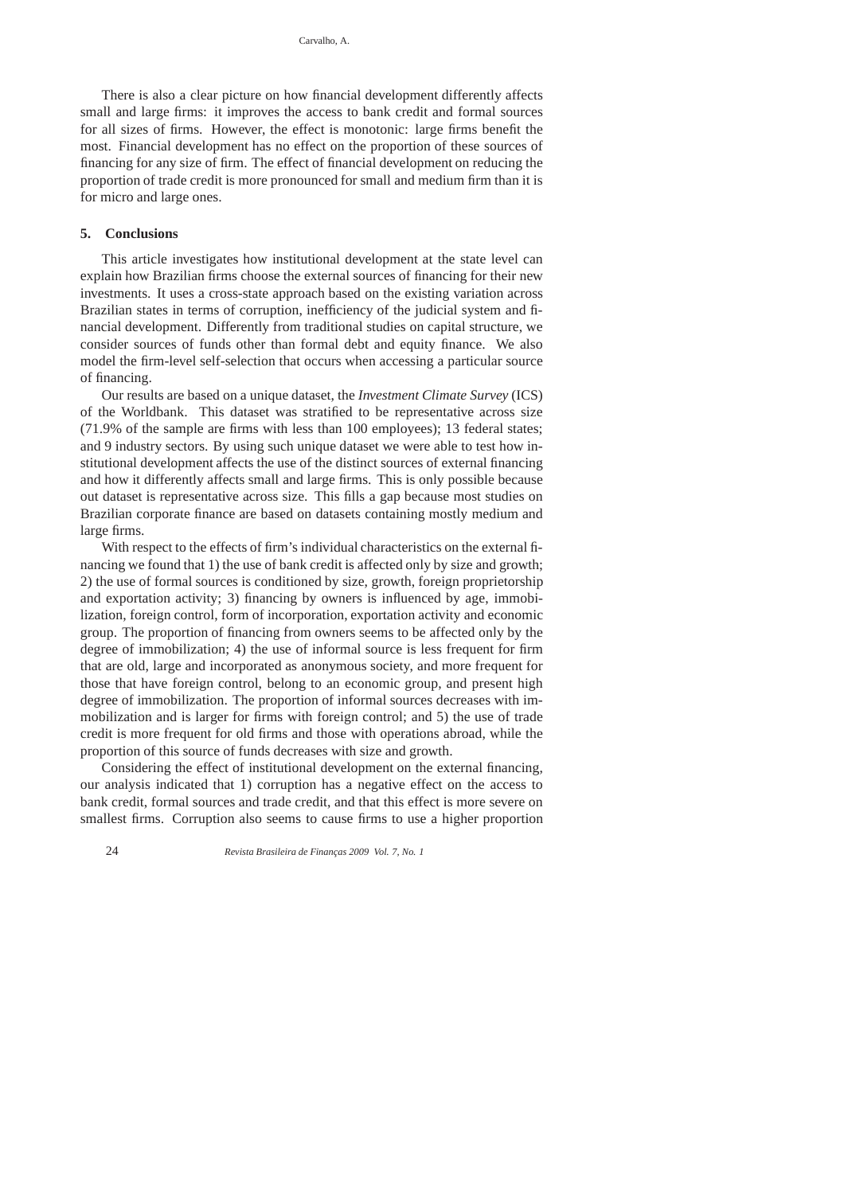There is also a clear picture on how financial development differently affects small and large firms: it improves the access to bank credit and formal sources for all sizes of firms. However, the effect is monotonic: large firms benefit the most. Financial development has no effect on the proportion of these sources of financing for any size of firm. The effect of financial development on reducing the proportion of trade credit is more pronounced for small and medium firm than it is for micro and large ones.

# **5. Conclusions**

This article investigates how institutional development at the state level can explain how Brazilian firms choose the external sources of financing for their new investments. It uses a cross-state approach based on the existing variation across Brazilian states in terms of corruption, inefficiency of the judicial system and financial development. Differently from traditional studies on capital structure, we consider sources of funds other than formal debt and equity finance. We also model the firm-level self-selection that occurs when accessing a particular source of financing.

Our results are based on a unique dataset, the *Investment Climate Survey* (ICS) of the Worldbank. This dataset was stratified to be representative across size (71.9% of the sample are firms with less than 100 employees); 13 federal states; and 9 industry sectors. By using such unique dataset we were able to test how institutional development affects the use of the distinct sources of external financing and how it differently affects small and large firms. This is only possible because out dataset is representative across size. This fills a gap because most studies on Brazilian corporate finance are based on datasets containing mostly medium and large firms.

With respect to the effects of firm's individual characteristics on the external financing we found that 1) the use of bank credit is affected only by size and growth; 2) the use of formal sources is conditioned by size, growth, foreign proprietorship and exportation activity; 3) financing by owners is influenced by age, immobilization, foreign control, form of incorporation, exportation activity and economic group. The proportion of financing from owners seems to be affected only by the degree of immobilization; 4) the use of informal source is less frequent for firm that are old, large and incorporated as anonymous society, and more frequent for those that have foreign control, belong to an economic group, and present high degree of immobilization. The proportion of informal sources decreases with immobilization and is larger for firms with foreign control; and 5) the use of trade credit is more frequent for old firms and those with operations abroad, while the proportion of this source of funds decreases with size and growth.

Considering the effect of institutional development on the external financing, our analysis indicated that 1) corruption has a negative effect on the access to bank credit, formal sources and trade credit, and that this effect is more severe on smallest firms. Corruption also seems to cause firms to use a higher proportion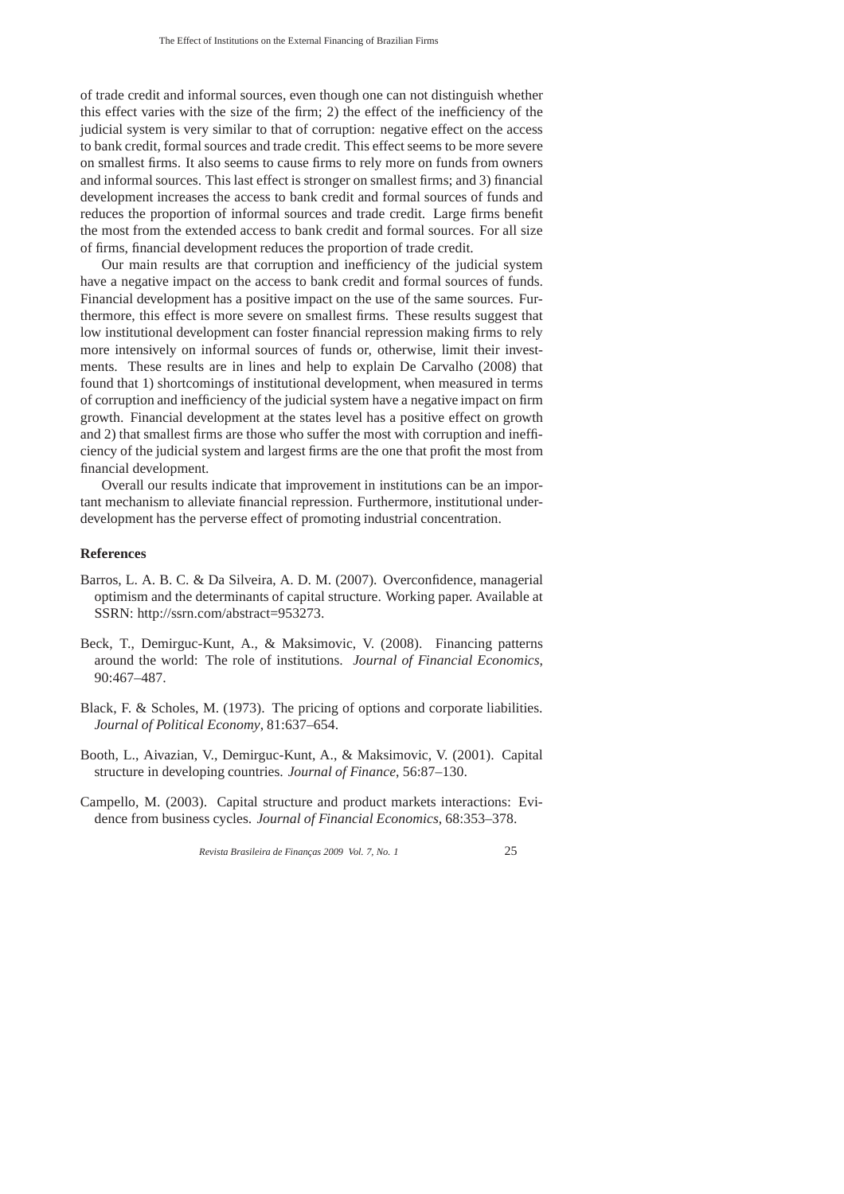of trade credit and informal sources, even though one can not distinguish whether this effect varies with the size of the firm; 2) the effect of the inefficiency of the judicial system is very similar to that of corruption: negative effect on the access to bank credit, formal sources and trade credit. This effect seems to be more severe on smallest firms. It also seems to cause firms to rely more on funds from owners and informal sources. This last effect is stronger on smallest firms; and 3) financial development increases the access to bank credit and formal sources of funds and reduces the proportion of informal sources and trade credit. Large firms benefit the most from the extended access to bank credit and formal sources. For all size of firms, financial development reduces the proportion of trade credit.

Our main results are that corruption and inefficiency of the judicial system have a negative impact on the access to bank credit and formal sources of funds. Financial development has a positive impact on the use of the same sources. Furthermore, this effect is more severe on smallest firms. These results suggest that low institutional development can foster financial repression making firms to rely more intensively on informal sources of funds or, otherwise, limit their investments. These results are in lines and help to explain De Carvalho (2008) that found that 1) shortcomings of institutional development, when measured in terms of corruption and inefficiency of the judicial system have a negative impact on firm growth. Financial development at the states level has a positive effect on growth and 2) that smallest firms are those who suffer the most with corruption and inefficiency of the judicial system and largest firms are the one that profit the most from financial development.

Overall our results indicate that improvement in institutions can be an important mechanism to alleviate financial repression. Furthermore, institutional underdevelopment has the perverse effect of promoting industrial concentration.

# **References**

- Barros, L. A. B. C. & Da Silveira, A. D. M. (2007). Overconfidence, managerial optimism and the determinants of capital structure. Working paper. Available at SSRN: http://ssrn.com/abstract=953273.
- Beck, T., Demirguc-Kunt, A., & Maksimovic, V. (2008). Financing patterns around the world: The role of institutions. *Journal of Financial Economics*, 90:467–487.
- Black, F. & Scholes, M. (1973). The pricing of options and corporate liabilities. *Journal of Political Economy*, 81:637–654.
- Booth, L., Aivazian, V., Demirguc-Kunt, A., & Maksimovic, V. (2001). Capital structure in developing countries. *Journal of Finance*, 56:87–130.
- Campello, M. (2003). Capital structure and product markets interactions: Evidence from business cycles. *Journal of Financial Economics*, 68:353–378.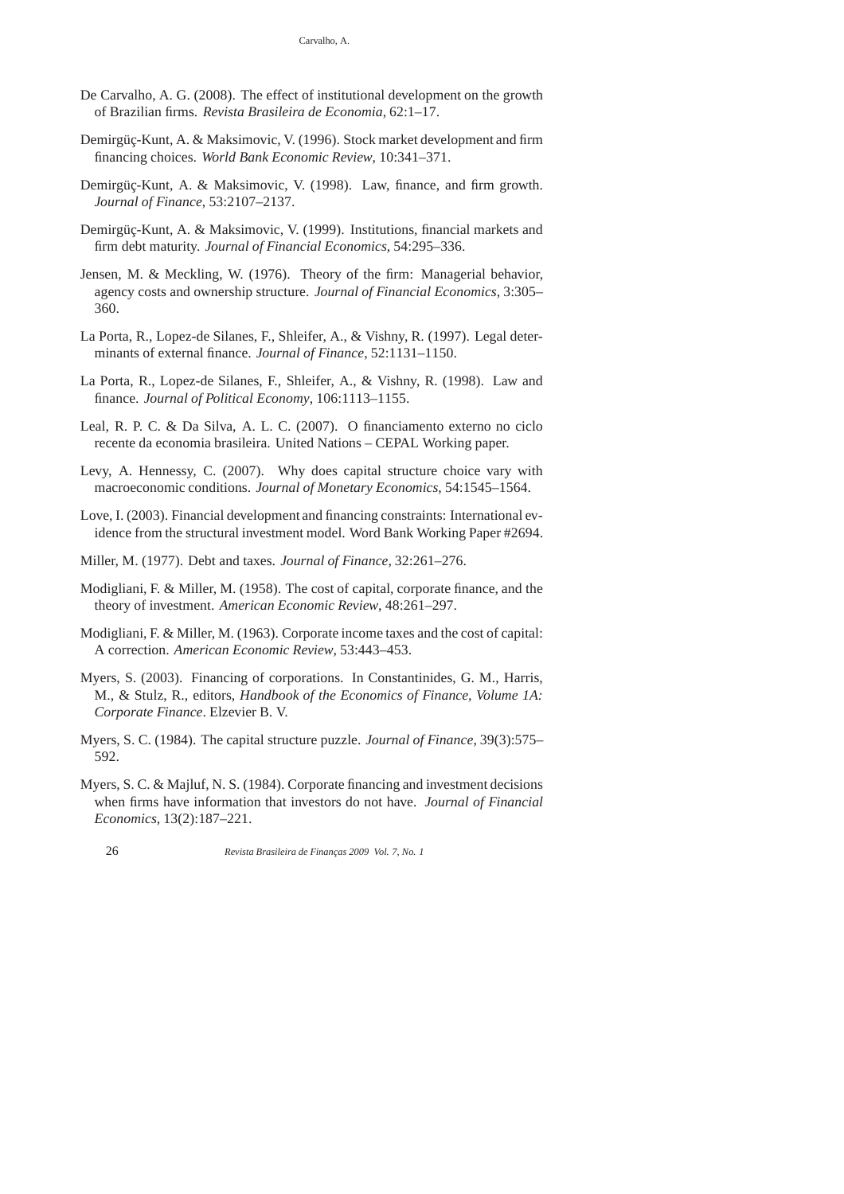- De Carvalho, A. G. (2008). The effect of institutional development on the growth of Brazilian firms. *Revista Brasileira de Economia*, 62:1–17.
- Demirgüç-Kunt, A. & Maksimovic, V. (1996). Stock market development and firm financing choices. *World Bank Economic Review*, 10:341–371.
- Demirgüç-Kunt, A. & Maksimovic, V. (1998). Law, finance, and firm growth. *Journal of Finance*, 53:2107–2137.
- Demirgüç-Kunt, A. & Maksimovic, V. (1999). Institutions, financial markets and firm debt maturity. *Journal of Financial Economics*, 54:295–336.
- Jensen, M. & Meckling, W. (1976). Theory of the firm: Managerial behavior, agency costs and ownership structure. *Journal of Financial Economics*, 3:305– 360.
- La Porta, R., Lopez-de Silanes, F., Shleifer, A., & Vishny, R. (1997). Legal determinants of external finance. *Journal of Finance*, 52:1131–1150.
- La Porta, R., Lopez-de Silanes, F., Shleifer, A., & Vishny, R. (1998). Law and finance. *Journal of Political Economy*, 106:1113–1155.
- Leal, R. P. C. & Da Silva, A. L. C. (2007). O financiamento externo no ciclo recente da economia brasileira. United Nations – CEPAL Working paper.
- Levy, A. Hennessy, C. (2007). Why does capital structure choice vary with macroeconomic conditions. *Journal of Monetary Economics*, 54:1545–1564.
- Love, I. (2003). Financial development and financing constraints: International evidence from the structural investment model. Word Bank Working Paper #2694.
- Miller, M. (1977). Debt and taxes. *Journal of Finance*, 32:261–276.
- Modigliani, F. & Miller, M. (1958). The cost of capital, corporate finance, and the theory of investment. *American Economic Review*, 48:261–297.
- Modigliani, F. & Miller, M. (1963). Corporate income taxes and the cost of capital: A correction. *American Economic Review*, 53:443–453.
- Myers, S. (2003). Financing of corporations. In Constantinides, G. M., Harris, M., & Stulz, R., editors, *Handbook of the Economics of Finance, Volume 1A: Corporate Finance*. Elzevier B. V.
- Myers, S. C. (1984). The capital structure puzzle. *Journal of Finance*, 39(3):575– 592.
- Myers, S. C. & Majluf, N. S. (1984). Corporate financing and investment decisions when firms have information that investors do not have. *Journal of Financial Economics*, 13(2):187–221.